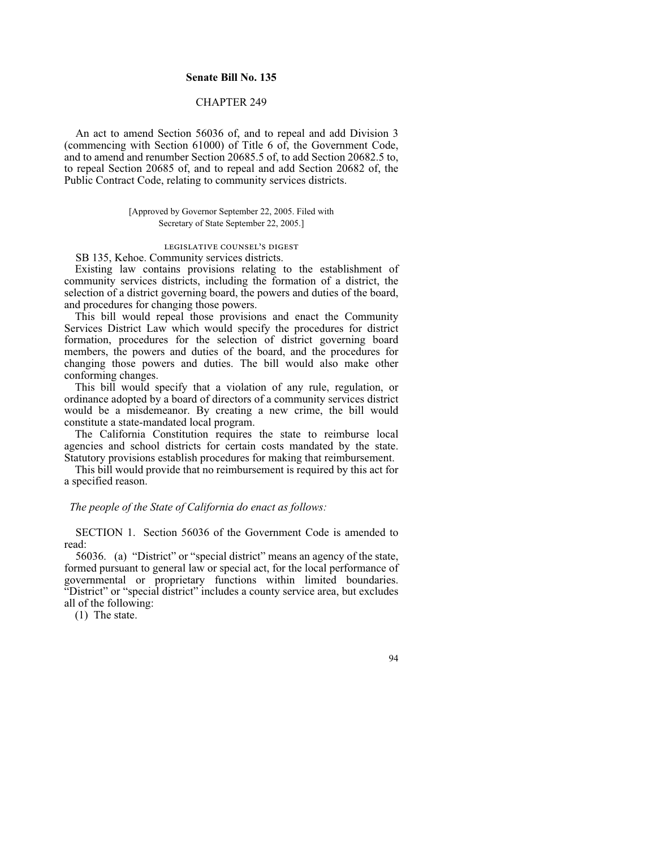# **Senate Bill No. 135**

# CHAPTER 249

An act to amend Section 56036 of, and to repeal and add Division 3 (commencing with Section 61000) of Title 6 of, the Government Code, and to amend and renumber Section 20685.5 of, to add Section 20682.5 to, to repeal Section 20685 of, and to repeal and add Section 20682 of, the Public Contract Code, relating to community services districts.

# [Approved by Governor September 22, 2005. Filed with Secretary of State September 22, 2005.]

legislative counsel's digest

SB 135, Kehoe. Community services districts.

Existing law contains provisions relating to the establishment of community services districts, including the formation of a district, the selection of a district governing board, the powers and duties of the board, and procedures for changing those powers.

This bill would repeal those provisions and enact the Community Services District Law which would specify the procedures for district formation, procedures for the selection of district governing board members, the powers and duties of the board, and the procedures for changing those powers and duties. The bill would also make other conforming changes.

This bill would specify that a violation of any rule, regulation, or ordinance adopted by a board of directors of a community services district would be a misdemeanor. By creating a new crime, the bill would constitute a state-mandated local program.

The California Constitution requires the state to reimburse local agencies and school districts for certain costs mandated by the state. Statutory provisions establish procedures for making that reimbursement.

This bill would provide that no reimbursement is required by this act for a specified reason.

# *The people of the State of California do enact as follows:*

SECTION 1. Section 56036 of the Government Code is amended to read:

56036. (a) "District" or "special district" means an agency of the state, formed pursuant to general law or special act, for the local performance of governmental or proprietary functions within limited boundaries. "District" or "special district" includes a county service area, but excludes all of the following:

(1) The state.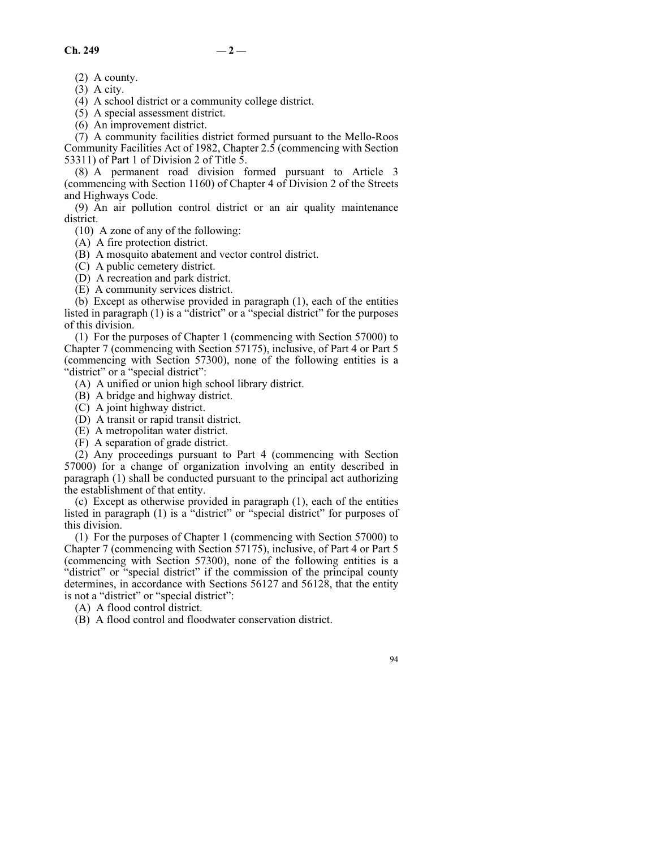(2) A county.

 $(3)$  A city.

(4) A school district or a community college district.

(5) A special assessment district.

(6) An improvement district.

(7) A community facilities district formed pursuant to the Mello-Roos Community Facilities Act of 1982, Chapter 2.5 (commencing with Section 53311) of Part 1 of Division 2 of Title 5.

(8) A permanent road division formed pursuant to Article 3 (commencing with Section 1160) of Chapter 4 of Division 2 of the Streets and Highways Code.

(9) An air pollution control district or an air quality maintenance district.

(10) A zone of any of the following:

(A) A fire protection district.

(B) A mosquito abatement and vector control district.

(C) A public cemetery district.

(D) A recreation and park district.

(E) A community services district.

(b) Except as otherwise provided in paragraph (1), each of the entities listed in paragraph (1) is a "district" or a "special district" for the purposes of this division.

(1) For the purposes of Chapter 1 (commencing with Section 57000) to Chapter 7 (commencing with Section 57175), inclusive, of Part 4 or Part 5 (commencing with Section 57300), none of the following entities is a "district" or a "special district":

(A) A unified or union high school library district.

(B) A bridge and highway district.

(C) A joint highway district.

(D) A transit or rapid transit district.

(E) A metropolitan water district.

(F) A separation of grade district.

(2) Any proceedings pursuant to Part 4 (commencing with Section 57000) for a change of organization involving an entity described in paragraph (1) shall be conducted pursuant to the principal act authorizing the establishment of that entity.

(c) Except as otherwise provided in paragraph (1), each of the entities listed in paragraph (1) is a "district" or "special district" for purposes of this division.

(1) For the purposes of Chapter 1 (commencing with Section 57000) to Chapter 7 (commencing with Section 57175), inclusive, of Part 4 or Part 5 (commencing with Section 57300), none of the following entities is a "district" or "special district" if the commission of the principal county determines, in accordance with Sections 56127 and 56128, that the entity is not a "district" or "special district":

(A) A flood control district.

(B) A flood control and floodwater conservation district.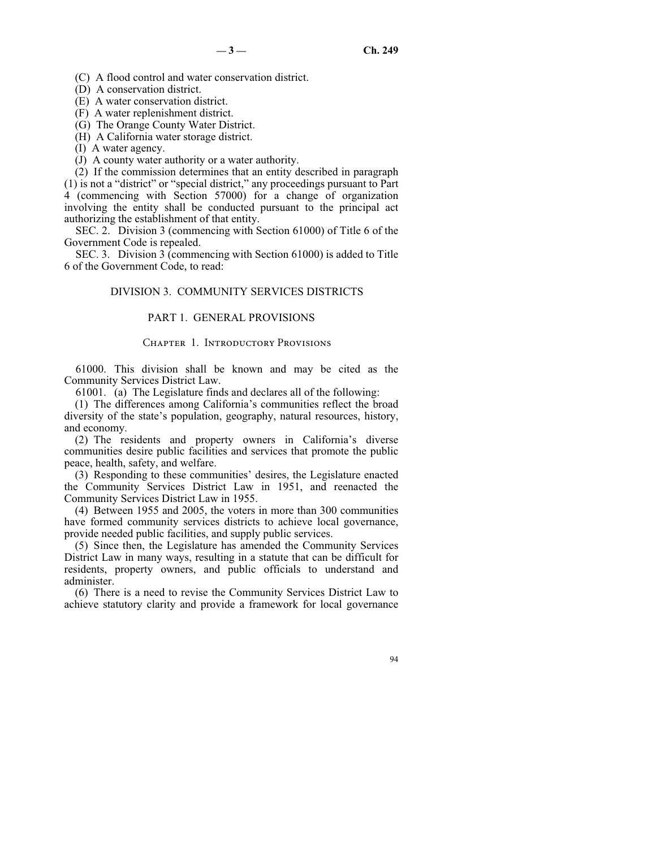(C) A flood control and water conservation district.

(D) A conservation district.

(E) A water conservation district.

(F) A water replenishment district.

(G) The Orange County Water District.

(H) A California water storage district.

(I) A water agency.

(J) A county water authority or a water authority.

(2) If the commission determines that an entity described in paragraph (1) is not a "district" or "special district," any proceedings pursuant to Part 4 (commencing with Section 57000) for a change of organization involving the entity shall be conducted pursuant to the principal act authorizing the establishment of that entity.

SEC. 2. Division 3 (commencing with Section 61000) of Title 6 of the Government Code is repealed.

SEC. 3. Division 3 (commencing with Section 61000) is added to Title 6 of the Government Code, to read:

# DIVISION 3. COMMUNITY SERVICES DISTRICTS

# PART 1. GENERAL PROVISIONS

# CHAPTER 1. INTRODUCTORY PROVISIONS

61000. This division shall be known and may be cited as the Community Services District Law.

61001. (a) The Legislature finds and declares all of the following:

(1) The differences among California's communities reflect the broad diversity of the state's population, geography, natural resources, history, and economy.

(2) The residents and property owners in California's diverse communities desire public facilities and services that promote the public peace, health, safety, and welfare.

(3) Responding to these communities' desires, the Legislature enacted the Community Services District Law in 1951, and reenacted the Community Services District Law in 1955.

(4) Between 1955 and 2005, the voters in more than 300 communities have formed community services districts to achieve local governance, provide needed public facilities, and supply public services.

(5) Since then, the Legislature has amended the Community Services District Law in many ways, resulting in a statute that can be difficult for residents, property owners, and public officials to understand and administer.

(6) There is a need to revise the Community Services District Law to achieve statutory clarity and provide a framework for local governance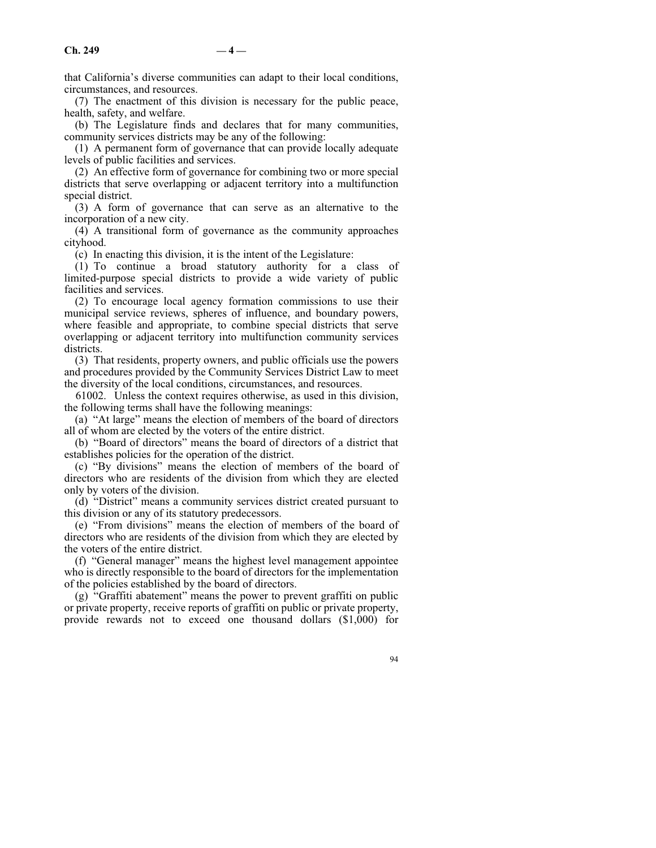$\mathbf{Ch.} 249$   $-4$  —

that California's diverse communities can adapt to their local conditions, circumstances, and resources.

(7) The enactment of this division is necessary for the public peace, health, safety, and welfare.

(b) The Legislature finds and declares that for many communities, community services districts may be any of the following:

(1) A permanent form of governance that can provide locally adequate levels of public facilities and services.

(2) An effective form of governance for combining two or more special districts that serve overlapping or adjacent territory into a multifunction special district.

(3) A form of governance that can serve as an alternative to the incorporation of a new city.

(4) A transitional form of governance as the community approaches cityhood.

(c) In enacting this division, it is the intent of the Legislature:

(1) To continue a broad statutory authority for a class of limited-purpose special districts to provide a wide variety of public facilities and services.

(2) To encourage local agency formation commissions to use their municipal service reviews, spheres of influence, and boundary powers, where feasible and appropriate, to combine special districts that serve overlapping or adjacent territory into multifunction community services districts.

(3) That residents, property owners, and public officials use the powers and procedures provided by the Community Services District Law to meet the diversity of the local conditions, circumstances, and resources.

61002. Unless the context requires otherwise, as used in this division, the following terms shall have the following meanings:

(a) "At large" means the election of members of the board of directors all of whom are elected by the voters of the entire district.

(b) "Board of directors" means the board of directors of a district that establishes policies for the operation of the district.

(c) "By divisions" means the election of members of the board of directors who are residents of the division from which they are elected only by voters of the division.

(d) "District" means a community services district created pursuant to this division or any of its statutory predecessors.

(e) "From divisions" means the election of members of the board of directors who are residents of the division from which they are elected by the voters of the entire district.

(f) "General manager" means the highest level management appointee who is directly responsible to the board of directors for the implementation of the policies established by the board of directors.

(g) "Graffiti abatement" means the power to prevent graffiti on public or private property, receive reports of graffiti on public or private property, provide rewards not to exceed one thousand dollars (\$1,000) for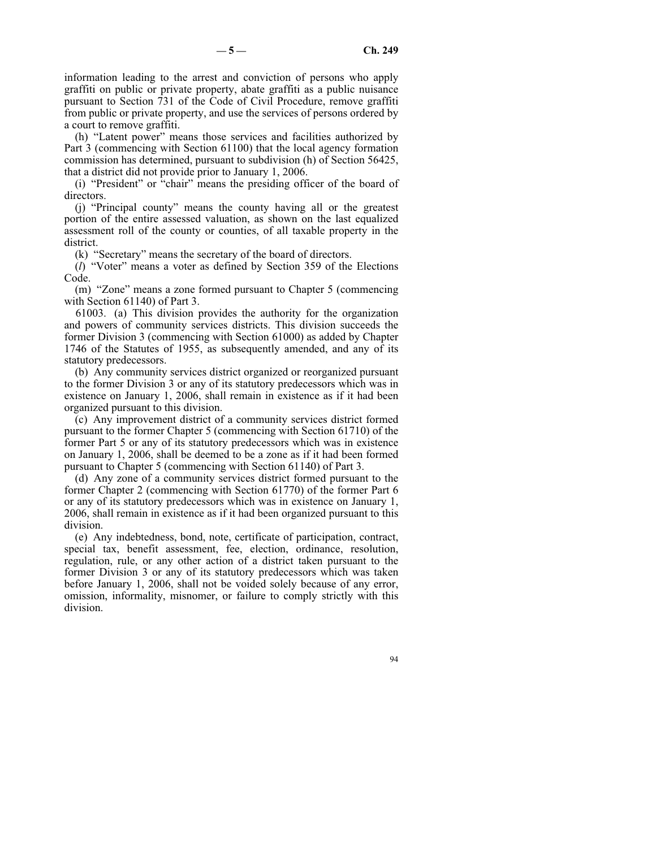information leading to the arrest and conviction of persons who apply graffiti on public or private property, abate graffiti as a public nuisance pursuant to Section 731 of the Code of Civil Procedure, remove graffiti from public or private property, and use the services of persons ordered by a court to remove graffiti.

(h) "Latent power" means those services and facilities authorized by Part 3 (commencing with Section 61100) that the local agency formation commission has determined, pursuant to subdivision (h) of Section 56425, that a district did not provide prior to January 1, 2006.

(i) "President" or "chair" means the presiding officer of the board of directors.

(j) "Principal county" means the county having all or the greatest portion of the entire assessed valuation, as shown on the last equalized assessment roll of the county or counties, of all taxable property in the district.

(k) "Secretary" means the secretary of the board of directors.

(*l*) "Voter" means a voter as defined by Section 359 of the Elections Code.

(m) "Zone" means a zone formed pursuant to Chapter 5 (commencing with Section 61140) of Part 3.

61003. (a) This division provides the authority for the organization and powers of community services districts. This division succeeds the former Division 3 (commencing with Section 61000) as added by Chapter 1746 of the Statutes of 1955, as subsequently amended, and any of its statutory predecessors.

(b) Any community services district organized or reorganized pursuant to the former Division 3 or any of its statutory predecessors which was in existence on January 1, 2006, shall remain in existence as if it had been organized pursuant to this division.

(c) Any improvement district of a community services district formed pursuant to the former Chapter 5 (commencing with Section 61710) of the former Part 5 or any of its statutory predecessors which was in existence on January 1, 2006, shall be deemed to be a zone as if it had been formed pursuant to Chapter 5 (commencing with Section 61140) of Part 3.

(d) Any zone of a community services district formed pursuant to the former Chapter 2 (commencing with Section 61770) of the former Part 6 or any of its statutory predecessors which was in existence on January 1, 2006, shall remain in existence as if it had been organized pursuant to this division.

(e) Any indebtedness, bond, note, certificate of participation, contract, special tax, benefit assessment, fee, election, ordinance, resolution, regulation, rule, or any other action of a district taken pursuant to the former Division 3 or any of its statutory predecessors which was taken before January 1, 2006, shall not be voided solely because of any error, omission, informality, misnomer, or failure to comply strictly with this division.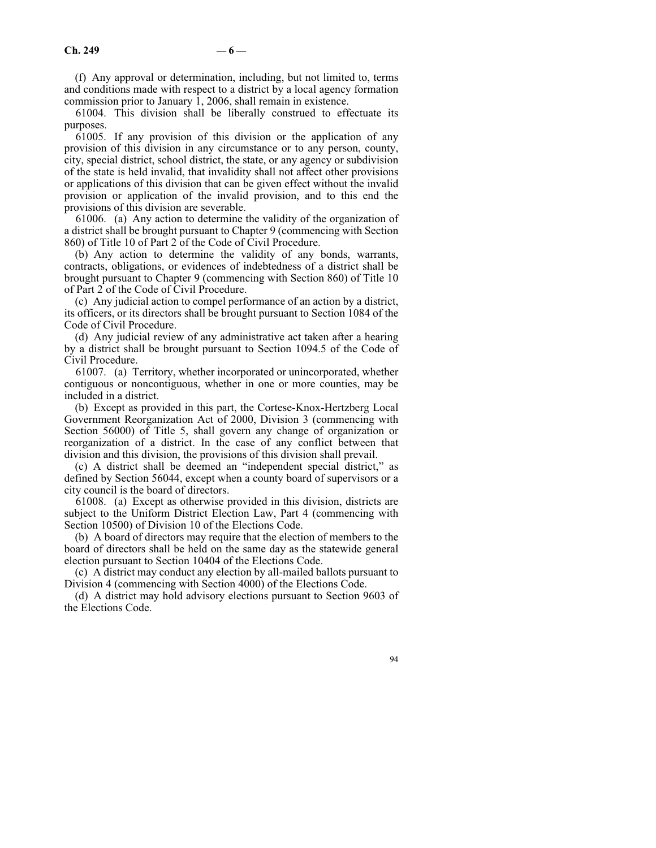(f) Any approval or determination, including, but not limited to, terms and conditions made with respect to a district by a local agency formation commission prior to January 1, 2006, shall remain in existence.

61004. This division shall be liberally construed to effectuate its purposes.

61005. If any provision of this division or the application of any provision of this division in any circumstance or to any person, county, city, special district, school district, the state, or any agency or subdivision of the state is held invalid, that invalidity shall not affect other provisions or applications of this division that can be given effect without the invalid provision or application of the invalid provision, and to this end the provisions of this division are severable.

61006. (a) Any action to determine the validity of the organization of a district shall be brought pursuant to Chapter 9 (commencing with Section 860) of Title 10 of Part 2 of the Code of Civil Procedure.

(b) Any action to determine the validity of any bonds, warrants, contracts, obligations, or evidences of indebtedness of a district shall be brought pursuant to Chapter 9 (commencing with Section 860) of Title 10 of Part 2 of the Code of Civil Procedure.

(c) Any judicial action to compel performance of an action by a district, its officers, or its directors shall be brought pursuant to Section 1084 of the Code of Civil Procedure.

(d) Any judicial review of any administrative act taken after a hearing by a district shall be brought pursuant to Section 1094.5 of the Code of Civil Procedure.

61007. (a) Territory, whether incorporated or unincorporated, whether contiguous or noncontiguous, whether in one or more counties, may be included in a district.

(b) Except as provided in this part, the Cortese-Knox-Hertzberg Local Government Reorganization Act of 2000, Division 3 (commencing with Section 56000) of Title 5, shall govern any change of organization or reorganization of a district. In the case of any conflict between that division and this division, the provisions of this division shall prevail.

(c) A district shall be deemed an "independent special district," as defined by Section 56044, except when a county board of supervisors or a city council is the board of directors.

61008. (a) Except as otherwise provided in this division, districts are subject to the Uniform District Election Law, Part 4 (commencing with Section 10500) of Division 10 of the Elections Code.

(b) A board of directors may require that the election of members to the board of directors shall be held on the same day as the statewide general election pursuant to Section 10404 of the Elections Code.

(c) A district may conduct any election by all-mailed ballots pursuant to Division 4 (commencing with Section 4000) of the Elections Code.

(d) A district may hold advisory elections pursuant to Section 9603 of the Elections Code.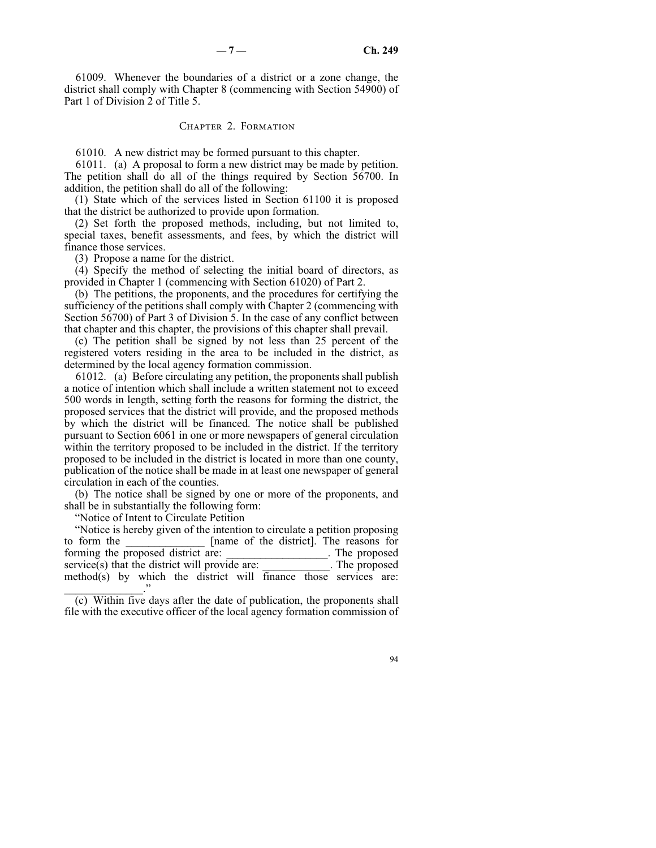61009. Whenever the boundaries of a district or a zone change, the district shall comply with Chapter 8 (commencing with Section 54900) of Part 1 of Division 2 of Title 5.

#### Chapter 2. Formation

61010. A new district may be formed pursuant to this chapter.

61011. (a) A proposal to form a new district may be made by petition. The petition shall do all of the things required by Section 56700. In addition, the petition shall do all of the following:

(1) State which of the services listed in Section 61100 it is proposed that the district be authorized to provide upon formation.

(2) Set forth the proposed methods, including, but not limited to, special taxes, benefit assessments, and fees, by which the district will finance those services.

(3) Propose a name for the district.

(4) Specify the method of selecting the initial board of directors, as provided in Chapter 1 (commencing with Section 61020) of Part 2.

(b) The petitions, the proponents, and the procedures for certifying the sufficiency of the petitions shall comply with Chapter 2 (commencing with Section 56700) of Part 3 of Division 5. In the case of any conflict between that chapter and this chapter, the provisions of this chapter shall prevail.

(c) The petition shall be signed by not less than 25 percent of the registered voters residing in the area to be included in the district, as determined by the local agency formation commission.

61012. (a) Before circulating any petition, the proponents shall publish a notice of intention which shall include a written statement not to exceed 500 words in length, setting forth the reasons for forming the district, the proposed services that the district will provide, and the proposed methods by which the district will be financed. The notice shall be published pursuant to Section 6061 in one or more newspapers of general circulation within the territory proposed to be included in the district. If the territory proposed to be included in the district is located in more than one county, publication of the notice shall be made in at least one newspaper of general circulation in each of the counties.

(b) The notice shall be signed by one or more of the proponents, and shall be in substantially the following form:

"Notice of Intent to Circulate Petition

"Notice is hereby given of the intention to circulate a petition proposing to form the **EXEC EXECUTE:** [name of the district]. The reasons for forming the proposed district are: The proposed example of  $\Gamma$ . The proposed service(s) that the district will provide are: \_\_\_\_\_\_\_\_\_\_\_\_. The proposed method(s) by which the district will finance those services are: \_\_\_\_\_\_\_\_\_\_\_\_\_\_."

(c) Within five days after the date of publication, the proponents shall file with the executive officer of the local agency formation commission of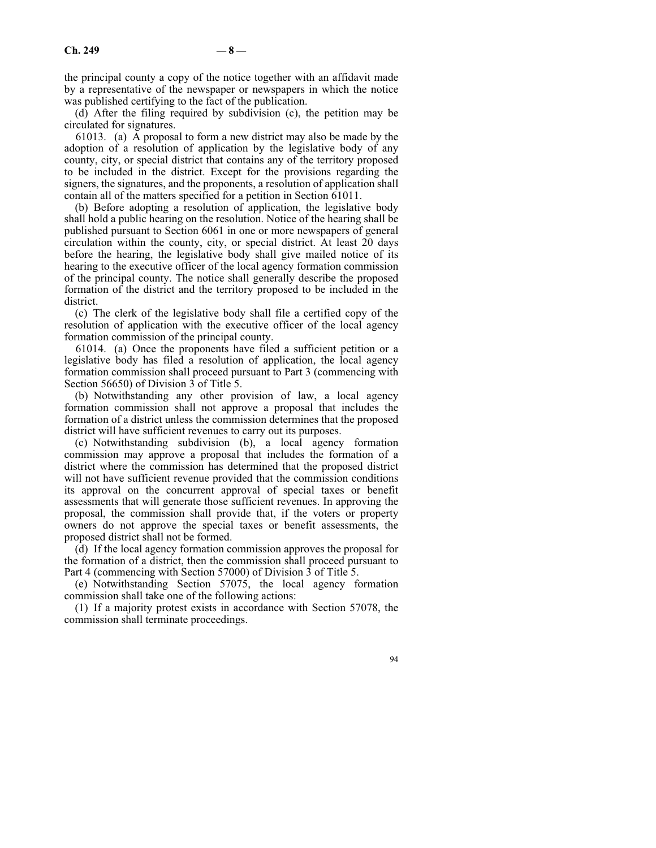the principal county a copy of the notice together with an affidavit made by a representative of the newspaper or newspapers in which the notice was published certifying to the fact of the publication.

(d) After the filing required by subdivision (c), the petition may be circulated for signatures.

61013. (a) A proposal to form a new district may also be made by the adoption of a resolution of application by the legislative body of any county, city, or special district that contains any of the territory proposed to be included in the district. Except for the provisions regarding the signers, the signatures, and the proponents, a resolution of application shall contain all of the matters specified for a petition in Section 61011.

(b) Before adopting a resolution of application, the legislative body shall hold a public hearing on the resolution. Notice of the hearing shall be published pursuant to Section 6061 in one or more newspapers of general circulation within the county, city, or special district. At least 20 days before the hearing, the legislative body shall give mailed notice of its hearing to the executive officer of the local agency formation commission of the principal county. The notice shall generally describe the proposed formation of the district and the territory proposed to be included in the district.

(c) The clerk of the legislative body shall file a certified copy of the resolution of application with the executive officer of the local agency formation commission of the principal county.

61014. (a) Once the proponents have filed a sufficient petition or a legislative body has filed a resolution of application, the local agency formation commission shall proceed pursuant to Part 3 (commencing with Section 56650) of Division 3 of Title 5.

(b) Notwithstanding any other provision of law, a local agency formation commission shall not approve a proposal that includes the formation of a district unless the commission determines that the proposed district will have sufficient revenues to carry out its purposes.

(c) Notwithstanding subdivision (b), a local agency formation commission may approve a proposal that includes the formation of a district where the commission has determined that the proposed district will not have sufficient revenue provided that the commission conditions its approval on the concurrent approval of special taxes or benefit assessments that will generate those sufficient revenues. In approving the proposal, the commission shall provide that, if the voters or property owners do not approve the special taxes or benefit assessments, the proposed district shall not be formed.

(d) If the local agency formation commission approves the proposal for the formation of a district, then the commission shall proceed pursuant to Part 4 (commencing with Section 57000) of Division 3 of Title 5.

(e) Notwithstanding Section 57075, the local agency formation commission shall take one of the following actions:

(1) If a majority protest exists in accordance with Section 57078, the commission shall terminate proceedings.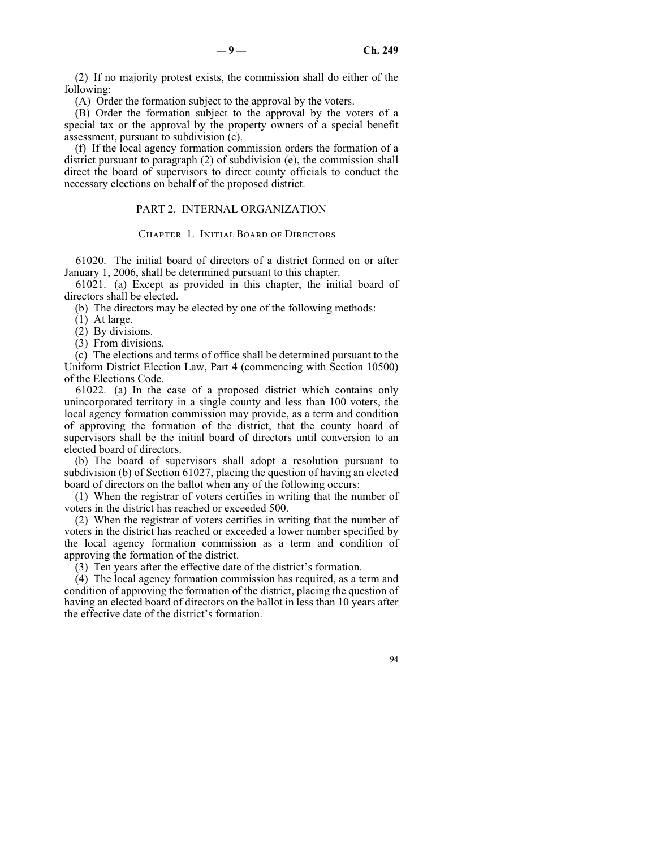(2) If no majority protest exists, the commission shall do either of the following:

(A) Order the formation subject to the approval by the voters.

(B) Order the formation subject to the approval by the voters of a special tax or the approval by the property owners of a special benefit assessment, pursuant to subdivision (c).

(f) If the local agency formation commission orders the formation of a district pursuant to paragraph (2) of subdivision (e), the commission shall direct the board of supervisors to direct county officials to conduct the necessary elections on behalf of the proposed district.

## PART 2. INTERNAL ORGANIZATION

#### CHAPTER 1. INITIAL BOARD OF DIRECTORS

61020. The initial board of directors of a district formed on or after January 1, 2006, shall be determined pursuant to this chapter.

61021. (a) Except as provided in this chapter, the initial board of directors shall be elected.

(b) The directors may be elected by one of the following methods:

- (1) At large.
- (2) By divisions.
- (3) From divisions.

(c) The elections and terms of office shall be determined pursuant to the Uniform District Election Law, Part 4 (commencing with Section 10500) of the Elections Code.

61022. (a) In the case of a proposed district which contains only unincorporated territory in a single county and less than 100 voters, the local agency formation commission may provide, as a term and condition of approving the formation of the district, that the county board of supervisors shall be the initial board of directors until conversion to an elected board of directors.

(b) The board of supervisors shall adopt a resolution pursuant to subdivision (b) of Section 61027, placing the question of having an elected board of directors on the ballot when any of the following occurs:

(1) When the registrar of voters certifies in writing that the number of voters in the district has reached or exceeded 500.

(2) When the registrar of voters certifies in writing that the number of voters in the district has reached or exceeded a lower number specified by the local agency formation commission as a term and condition of approving the formation of the district.

(3) Ten years after the effective date of the district's formation.

(4) The local agency formation commission has required, as a term and condition of approving the formation of the district, placing the question of having an elected board of directors on the ballot in less than 10 years after the effective date of the district's formation.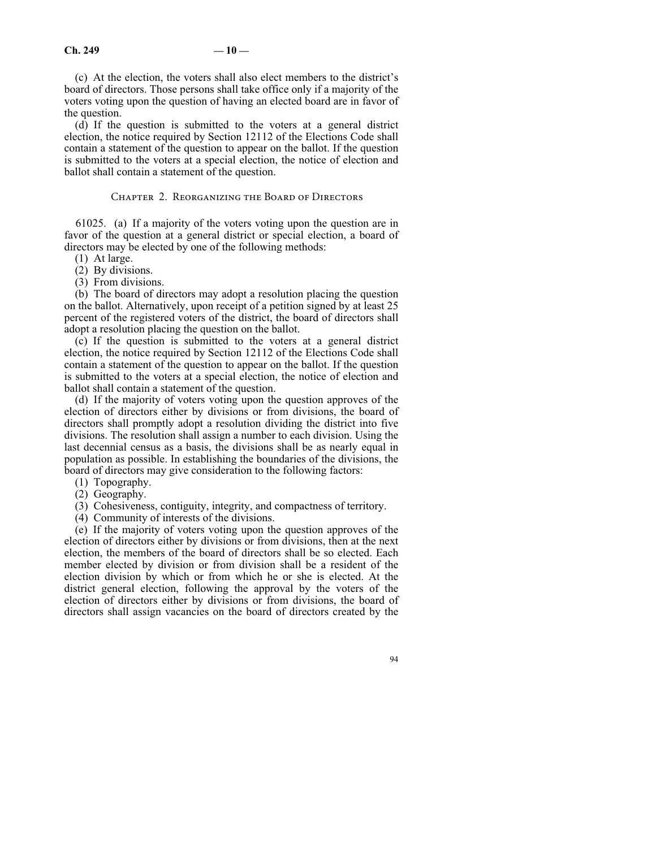(c) At the election, the voters shall also elect members to the district's board of directors. Those persons shall take office only if a majority of the voters voting upon the question of having an elected board are in favor of the question.

(d) If the question is submitted to the voters at a general district election, the notice required by Section 12112 of the Elections Code shall contain a statement of the question to appear on the ballot. If the question is submitted to the voters at a special election, the notice of election and ballot shall contain a statement of the question.

#### Chapter 2. Reorganizing the Board of Directors

61025. (a) If a majority of the voters voting upon the question are in favor of the question at a general district or special election, a board of directors may be elected by one of the following methods:

- (1) At large.
- (2) By divisions.
- (3) From divisions.

(b) The board of directors may adopt a resolution placing the question on the ballot. Alternatively, upon receipt of a petition signed by at least 25 percent of the registered voters of the district, the board of directors shall adopt a resolution placing the question on the ballot.

(c) If the question is submitted to the voters at a general district election, the notice required by Section 12112 of the Elections Code shall contain a statement of the question to appear on the ballot. If the question is submitted to the voters at a special election, the notice of election and ballot shall contain a statement of the question.

(d) If the majority of voters voting upon the question approves of the election of directors either by divisions or from divisions, the board of directors shall promptly adopt a resolution dividing the district into five divisions. The resolution shall assign a number to each division. Using the last decennial census as a basis, the divisions shall be as nearly equal in population as possible. In establishing the boundaries of the divisions, the board of directors may give consideration to the following factors:

- (1) Topography.
- (2) Geography.
- (3) Cohesiveness, contiguity, integrity, and compactness of territory.
- (4) Community of interests of the divisions.

(e) If the majority of voters voting upon the question approves of the election of directors either by divisions or from divisions, then at the next election, the members of the board of directors shall be so elected. Each member elected by division or from division shall be a resident of the election division by which or from which he or she is elected. At the district general election, following the approval by the voters of the election of directors either by divisions or from divisions, the board of directors shall assign vacancies on the board of directors created by the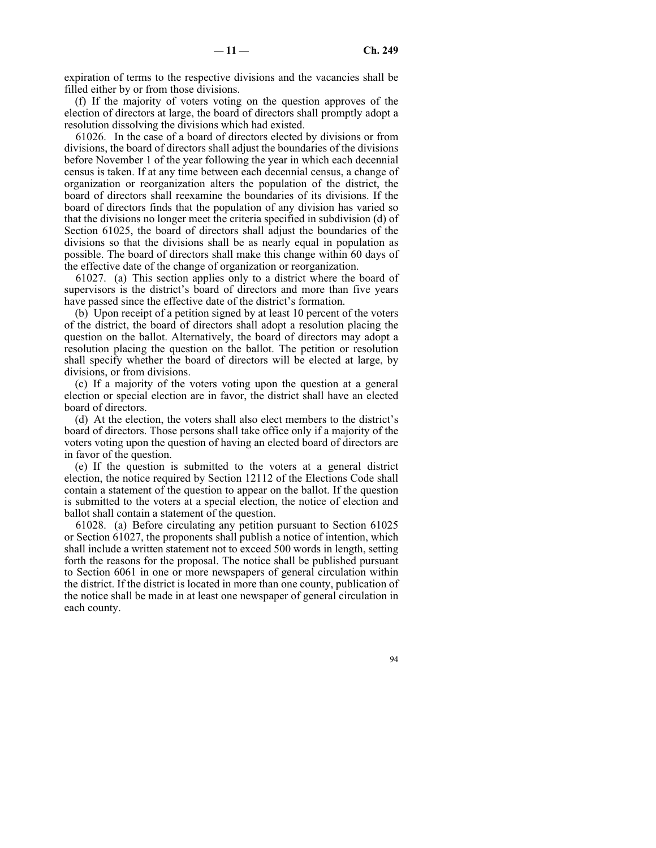expiration of terms to the respective divisions and the vacancies shall be filled either by or from those divisions.

(f) If the majority of voters voting on the question approves of the election of directors at large, the board of directors shall promptly adopt a resolution dissolving the divisions which had existed.

61026. In the case of a board of directors elected by divisions or from divisions, the board of directors shall adjust the boundaries of the divisions before November 1 of the year following the year in which each decennial census is taken. If at any time between each decennial census, a change of organization or reorganization alters the population of the district, the board of directors shall reexamine the boundaries of its divisions. If the board of directors finds that the population of any division has varied so that the divisions no longer meet the criteria specified in subdivision (d) of Section 61025, the board of directors shall adjust the boundaries of the divisions so that the divisions shall be as nearly equal in population as possible. The board of directors shall make this change within 60 days of the effective date of the change of organization or reorganization.

61027. (a) This section applies only to a district where the board of supervisors is the district's board of directors and more than five years have passed since the effective date of the district's formation.

(b) Upon receipt of a petition signed by at least 10 percent of the voters of the district, the board of directors shall adopt a resolution placing the question on the ballot. Alternatively, the board of directors may adopt a resolution placing the question on the ballot. The petition or resolution shall specify whether the board of directors will be elected at large, by divisions, or from divisions.

(c) If a majority of the voters voting upon the question at a general election or special election are in favor, the district shall have an elected board of directors.

(d) At the election, the voters shall also elect members to the district's board of directors. Those persons shall take office only if a majority of the voters voting upon the question of having an elected board of directors are in favor of the question.

(e) If the question is submitted to the voters at a general district election, the notice required by Section 12112 of the Elections Code shall contain a statement of the question to appear on the ballot. If the question is submitted to the voters at a special election, the notice of election and ballot shall contain a statement of the question.

61028. (a) Before circulating any petition pursuant to Section 61025 or Section 61027, the proponents shall publish a notice of intention, which shall include a written statement not to exceed 500 words in length, setting forth the reasons for the proposal. The notice shall be published pursuant to Section 6061 in one or more newspapers of general circulation within the district. If the district is located in more than one county, publication of the notice shall be made in at least one newspaper of general circulation in each county.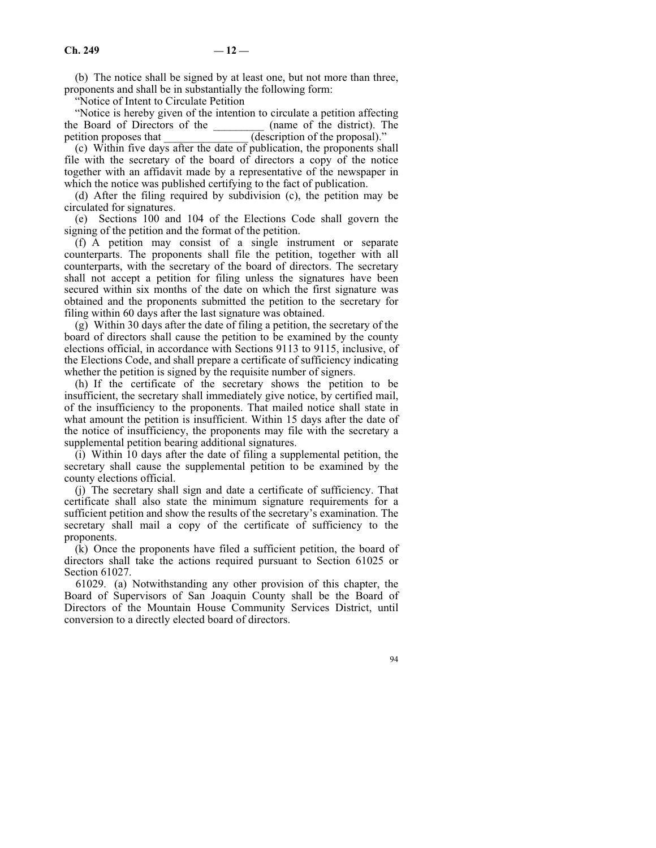(b) The notice shall be signed by at least one, but not more than three, proponents and shall be in substantially the following form:

"Notice of Intent to Circulate Petition

"Notice is hereby given of the intention to circulate a petition affecting<br>e Board of Directors of the (name of the district). The the Board of Directors of the getition proposes that  $($  description of the proposal)."

(c) Within five days after the date of publication, the proponents shall file with the secretary of the board of directors a copy of the notice together with an affidavit made by a representative of the newspaper in which the notice was published certifying to the fact of publication.

(d) After the filing required by subdivision (c), the petition may be circulated for signatures.

(e) Sections 100 and 104 of the Elections Code shall govern the signing of the petition and the format of the petition.

(f) A petition may consist of a single instrument or separate counterparts. The proponents shall file the petition, together with all counterparts, with the secretary of the board of directors. The secretary shall not accept a petition for filing unless the signatures have been secured within six months of the date on which the first signature was obtained and the proponents submitted the petition to the secretary for filing within 60 days after the last signature was obtained.

(g) Within 30 days after the date of filing a petition, the secretary of the board of directors shall cause the petition to be examined by the county elections official, in accordance with Sections 9113 to 9115, inclusive, of the Elections Code, and shall prepare a certificate of sufficiency indicating whether the petition is signed by the requisite number of signers.

(h) If the certificate of the secretary shows the petition to be insufficient, the secretary shall immediately give notice, by certified mail, of the insufficiency to the proponents. That mailed notice shall state in what amount the petition is insufficient. Within 15 days after the date of the notice of insufficiency, the proponents may file with the secretary a supplemental petition bearing additional signatures.

(i) Within 10 days after the date of filing a supplemental petition, the secretary shall cause the supplemental petition to be examined by the county elections official.

(j) The secretary shall sign and date a certificate of sufficiency. That certificate shall also state the minimum signature requirements for a sufficient petition and show the results of the secretary's examination. The secretary shall mail a copy of the certificate of sufficiency to the proponents.

(k) Once the proponents have filed a sufficient petition, the board of directors shall take the actions required pursuant to Section 61025 or Section 61027.

61029. (a) Notwithstanding any other provision of this chapter, the Board of Supervisors of San Joaquin County shall be the Board of Directors of the Mountain House Community Services District, until conversion to a directly elected board of directors.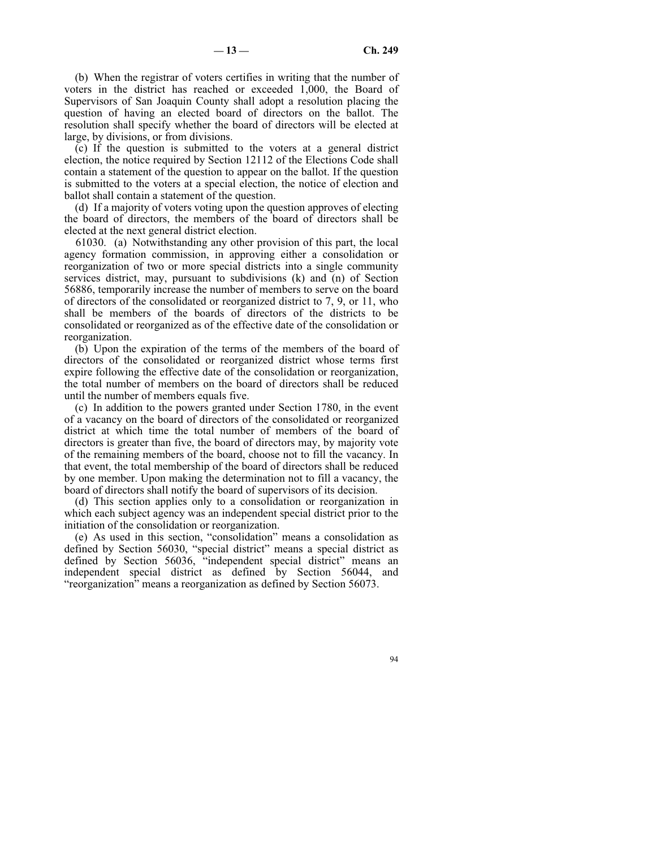(b) When the registrar of voters certifies in writing that the number of voters in the district has reached or exceeded 1,000, the Board of Supervisors of San Joaquin County shall adopt a resolution placing the question of having an elected board of directors on the ballot. The resolution shall specify whether the board of directors will be elected at large, by divisions, or from divisions.

(c) If the question is submitted to the voters at a general district election, the notice required by Section 12112 of the Elections Code shall contain a statement of the question to appear on the ballot. If the question is submitted to the voters at a special election, the notice of election and ballot shall contain a statement of the question.

(d) If a majority of voters voting upon the question approves of electing the board of directors, the members of the board of directors shall be elected at the next general district election.

61030. (a) Notwithstanding any other provision of this part, the local agency formation commission, in approving either a consolidation or reorganization of two or more special districts into a single community services district, may, pursuant to subdivisions (k) and (n) of Section 56886, temporarily increase the number of members to serve on the board of directors of the consolidated or reorganized district to 7, 9, or 11, who shall be members of the boards of directors of the districts to be consolidated or reorganized as of the effective date of the consolidation or reorganization.

(b) Upon the expiration of the terms of the members of the board of directors of the consolidated or reorganized district whose terms first expire following the effective date of the consolidation or reorganization, the total number of members on the board of directors shall be reduced until the number of members equals five.

(c) In addition to the powers granted under Section 1780, in the event of a vacancy on the board of directors of the consolidated or reorganized district at which time the total number of members of the board of directors is greater than five, the board of directors may, by majority vote of the remaining members of the board, choose not to fill the vacancy. In that event, the total membership of the board of directors shall be reduced by one member. Upon making the determination not to fill a vacancy, the board of directors shall notify the board of supervisors of its decision.

(d) This section applies only to a consolidation or reorganization in which each subject agency was an independent special district prior to the initiation of the consolidation or reorganization.

(e) As used in this section, "consolidation" means a consolidation as defined by Section 56030, "special district" means a special district as defined by Section 56036, "independent special district" means an independent special district as defined by Section 56044, and "reorganization" means a reorganization as defined by Section 56073.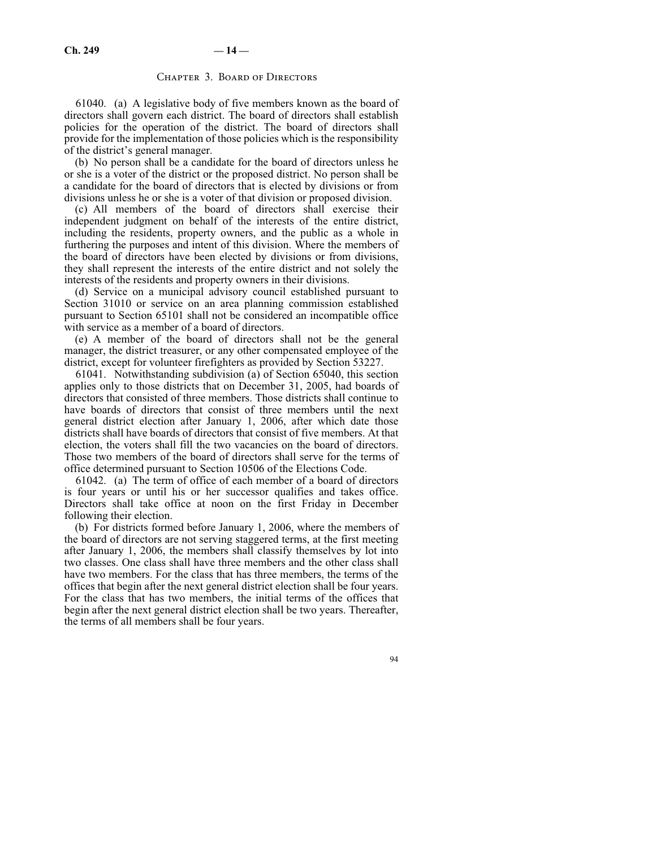# CHAPTER 3. BOARD OF DIRECTORS

61040. (a) A legislative body of five members known as the board of directors shall govern each district. The board of directors shall establish policies for the operation of the district. The board of directors shall provide for the implementation of those policies which is the responsibility of the district's general manager.

(b) No person shall be a candidate for the board of directors unless he or she is a voter of the district or the proposed district. No person shall be a candidate for the board of directors that is elected by divisions or from divisions unless he or she is a voter of that division or proposed division.

(c) All members of the board of directors shall exercise their independent judgment on behalf of the interests of the entire district, including the residents, property owners, and the public as a whole in furthering the purposes and intent of this division. Where the members of the board of directors have been elected by divisions or from divisions, they shall represent the interests of the entire district and not solely the interests of the residents and property owners in their divisions.

(d) Service on a municipal advisory council established pursuant to Section 31010 or service on an area planning commission established pursuant to Section 65101 shall not be considered an incompatible office with service as a member of a board of directors.

(e) A member of the board of directors shall not be the general manager, the district treasurer, or any other compensated employee of the district, except for volunteer firefighters as provided by Section 53227.

61041. Notwithstanding subdivision (a) of Section 65040, this section applies only to those districts that on December 31, 2005, had boards of directors that consisted of three members. Those districts shall continue to have boards of directors that consist of three members until the next general district election after January 1, 2006, after which date those districts shall have boards of directors that consist of five members. At that election, the voters shall fill the two vacancies on the board of directors. Those two members of the board of directors shall serve for the terms of office determined pursuant to Section 10506 of the Elections Code.

61042. (a) The term of office of each member of a board of directors is four years or until his or her successor qualifies and takes office. Directors shall take office at noon on the first Friday in December following their election.

(b) For districts formed before January 1, 2006, where the members of the board of directors are not serving staggered terms, at the first meeting after January 1, 2006, the members shall classify themselves by lot into two classes. One class shall have three members and the other class shall have two members. For the class that has three members, the terms of the offices that begin after the next general district election shall be four years. For the class that has two members, the initial terms of the offices that begin after the next general district election shall be two years. Thereafter, the terms of all members shall be four years.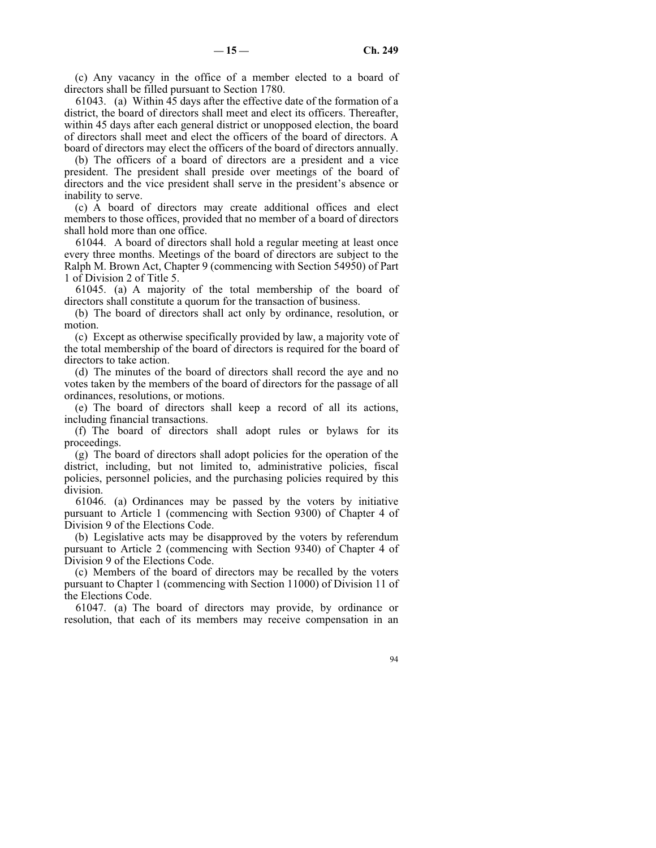(c) Any vacancy in the office of a member elected to a board of directors shall be filled pursuant to Section 1780.

61043. (a) Within 45 days after the effective date of the formation of a district, the board of directors shall meet and elect its officers. Thereafter, within 45 days after each general district or unopposed election, the board of directors shall meet and elect the officers of the board of directors. A board of directors may elect the officers of the board of directors annually.

(b) The officers of a board of directors are a president and a vice president. The president shall preside over meetings of the board of directors and the vice president shall serve in the president's absence or inability to serve.

(c) A board of directors may create additional offices and elect members to those offices, provided that no member of a board of directors shall hold more than one office.

61044. A board of directors shall hold a regular meeting at least once every three months. Meetings of the board of directors are subject to the Ralph M. Brown Act, Chapter 9 (commencing with Section 54950) of Part 1 of Division 2 of Title 5.

61045. (a) A majority of the total membership of the board of directors shall constitute a quorum for the transaction of business.

(b) The board of directors shall act only by ordinance, resolution, or motion.

(c) Except as otherwise specifically provided by law, a majority vote of the total membership of the board of directors is required for the board of directors to take action.

(d) The minutes of the board of directors shall record the aye and no votes taken by the members of the board of directors for the passage of all ordinances, resolutions, or motions.

(e) The board of directors shall keep a record of all its actions, including financial transactions.

(f) The board of directors shall adopt rules or bylaws for its proceedings.

(g) The board of directors shall adopt policies for the operation of the district, including, but not limited to, administrative policies, fiscal policies, personnel policies, and the purchasing policies required by this division.

61046. (a) Ordinances may be passed by the voters by initiative pursuant to Article 1 (commencing with Section 9300) of Chapter 4 of Division 9 of the Elections Code.

(b) Legislative acts may be disapproved by the voters by referendum pursuant to Article 2 (commencing with Section 9340) of Chapter 4 of Division 9 of the Elections Code.

(c) Members of the board of directors may be recalled by the voters pursuant to Chapter 1 (commencing with Section 11000) of Division 11 of the Elections Code.

61047. (a) The board of directors may provide, by ordinance or resolution, that each of its members may receive compensation in an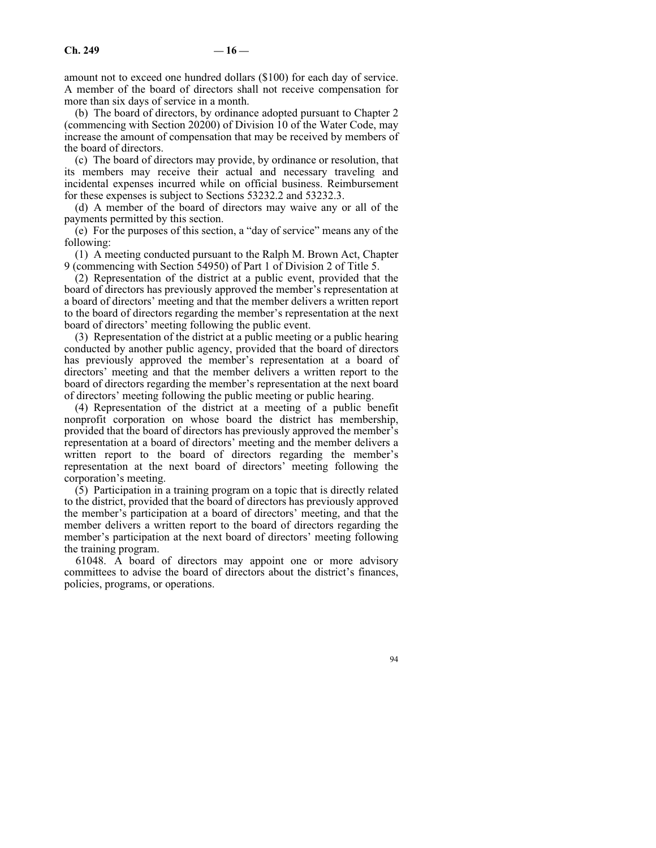amount not to exceed one hundred dollars (\$100) for each day of service. A member of the board of directors shall not receive compensation for more than six days of service in a month.

(b) The board of directors, by ordinance adopted pursuant to Chapter 2 (commencing with Section 20200) of Division 10 of the Water Code, may increase the amount of compensation that may be received by members of the board of directors.

(c) The board of directors may provide, by ordinance or resolution, that its members may receive their actual and necessary traveling and incidental expenses incurred while on official business. Reimbursement for these expenses is subject to Sections 53232.2 and 53232.3.

(d) A member of the board of directors may waive any or all of the payments permitted by this section.

(e) For the purposes of this section, a "day of service" means any of the following:

(1) A meeting conducted pursuant to the Ralph M. Brown Act, Chapter 9 (commencing with Section 54950) of Part 1 of Division 2 of Title 5.

(2) Representation of the district at a public event, provided that the board of directors has previously approved the member's representation at a board of directors' meeting and that the member delivers a written report to the board of directors regarding the member's representation at the next board of directors' meeting following the public event.

(3) Representation of the district at a public meeting or a public hearing conducted by another public agency, provided that the board of directors has previously approved the member's representation at a board of directors' meeting and that the member delivers a written report to the board of directors regarding the member's representation at the next board of directors' meeting following the public meeting or public hearing.

(4) Representation of the district at a meeting of a public benefit nonprofit corporation on whose board the district has membership, provided that the board of directors has previously approved the member's representation at a board of directors' meeting and the member delivers a written report to the board of directors regarding the member's representation at the next board of directors' meeting following the corporation's meeting.

(5) Participation in a training program on a topic that is directly related to the district, provided that the board of directors has previously approved the member's participation at a board of directors' meeting, and that the member delivers a written report to the board of directors regarding the member's participation at the next board of directors' meeting following the training program.

61048. A board of directors may appoint one or more advisory committees to advise the board of directors about the district's finances, policies, programs, or operations.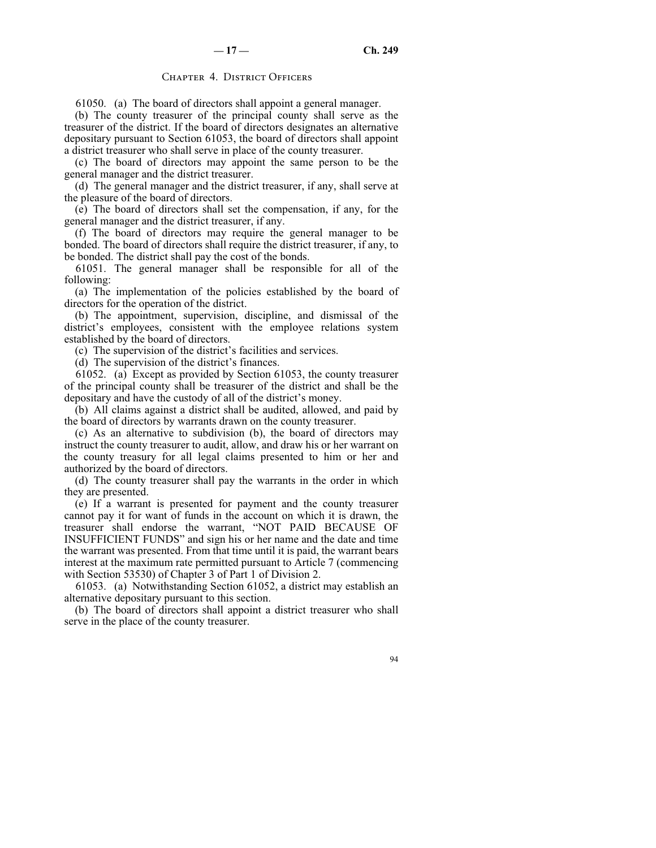# CHAPTER 4. DISTRICT OFFICERS

61050. (a) The board of directors shall appoint a general manager.

(b) The county treasurer of the principal county shall serve as the treasurer of the district. If the board of directors designates an alternative depositary pursuant to Section 61053, the board of directors shall appoint a district treasurer who shall serve in place of the county treasurer.

(c) The board of directors may appoint the same person to be the general manager and the district treasurer.

(d) The general manager and the district treasurer, if any, shall serve at the pleasure of the board of directors.

(e) The board of directors shall set the compensation, if any, for the general manager and the district treasurer, if any.

(f) The board of directors may require the general manager to be bonded. The board of directors shall require the district treasurer, if any, to be bonded. The district shall pay the cost of the bonds.

61051. The general manager shall be responsible for all of the following:

(a) The implementation of the policies established by the board of directors for the operation of the district.

(b) The appointment, supervision, discipline, and dismissal of the district's employees, consistent with the employee relations system established by the board of directors.

(c) The supervision of the district's facilities and services.

(d) The supervision of the district's finances.

61052. (a) Except as provided by Section 61053, the county treasurer of the principal county shall be treasurer of the district and shall be the depositary and have the custody of all of the district's money.

(b) All claims against a district shall be audited, allowed, and paid by the board of directors by warrants drawn on the county treasurer.

(c) As an alternative to subdivision (b), the board of directors may instruct the county treasurer to audit, allow, and draw his or her warrant on the county treasury for all legal claims presented to him or her and authorized by the board of directors.

(d) The county treasurer shall pay the warrants in the order in which they are presented.

(e) If a warrant is presented for payment and the county treasurer cannot pay it for want of funds in the account on which it is drawn, the treasurer shall endorse the warrant, "NOT PAID BECAUSE OF INSUFFICIENT FUNDS" and sign his or her name and the date and time the warrant was presented. From that time until it is paid, the warrant bears interest at the maximum rate permitted pursuant to Article 7 (commencing with Section 53530) of Chapter 3 of Part 1 of Division 2.

61053. (a) Notwithstanding Section 61052, a district may establish an alternative depositary pursuant to this section.

(b) The board of directors shall appoint a district treasurer who shall serve in the place of the county treasurer.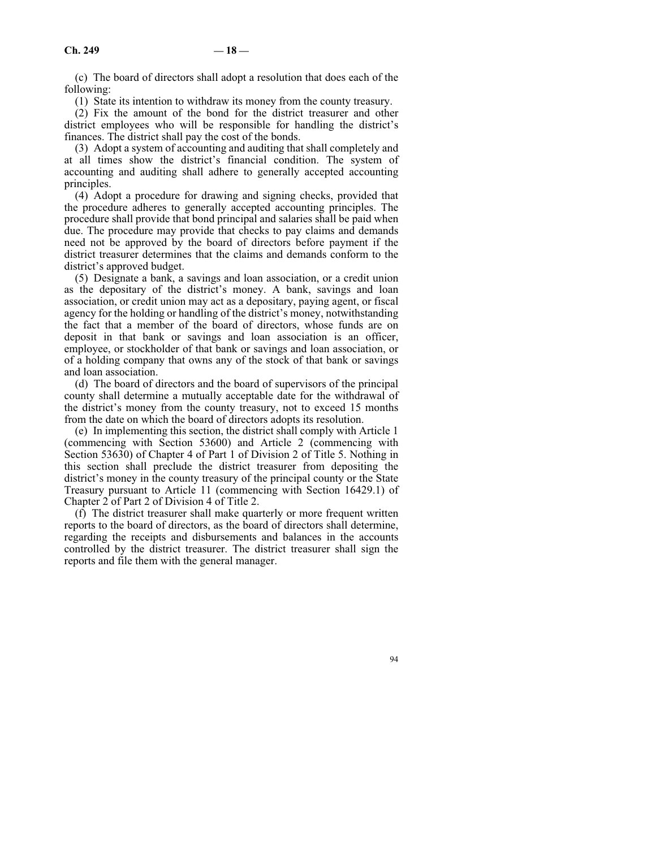(c) The board of directors shall adopt a resolution that does each of the following:

(1) State its intention to withdraw its money from the county treasury.

(2) Fix the amount of the bond for the district treasurer and other district employees who will be responsible for handling the district's finances. The district shall pay the cost of the bonds.

(3) Adopt a system of accounting and auditing that shall completely and at all times show the district's financial condition. The system of accounting and auditing shall adhere to generally accepted accounting principles.

(4) Adopt a procedure for drawing and signing checks, provided that the procedure adheres to generally accepted accounting principles. The procedure shall provide that bond principal and salaries shall be paid when due. The procedure may provide that checks to pay claims and demands need not be approved by the board of directors before payment if the district treasurer determines that the claims and demands conform to the district's approved budget.

(5) Designate a bank, a savings and loan association, or a credit union as the depositary of the district's money. A bank, savings and loan association, or credit union may act as a depositary, paying agent, or fiscal agency for the holding or handling of the district's money, notwithstanding the fact that a member of the board of directors, whose funds are on deposit in that bank or savings and loan association is an officer, employee, or stockholder of that bank or savings and loan association, or of a holding company that owns any of the stock of that bank or savings and loan association.

(d) The board of directors and the board of supervisors of the principal county shall determine a mutually acceptable date for the withdrawal of the district's money from the county treasury, not to exceed 15 months from the date on which the board of directors adopts its resolution.

(e) In implementing this section, the district shall comply with Article 1 (commencing with Section 53600) and Article 2 (commencing with Section 53630) of Chapter 4 of Part 1 of Division 2 of Title 5. Nothing in this section shall preclude the district treasurer from depositing the district's money in the county treasury of the principal county or the State Treasury pursuant to Article 11 (commencing with Section 16429.1) of Chapter 2 of Part 2 of Division 4 of Title 2.

(f) The district treasurer shall make quarterly or more frequent written reports to the board of directors, as the board of directors shall determine, regarding the receipts and disbursements and balances in the accounts controlled by the district treasurer. The district treasurer shall sign the reports and file them with the general manager.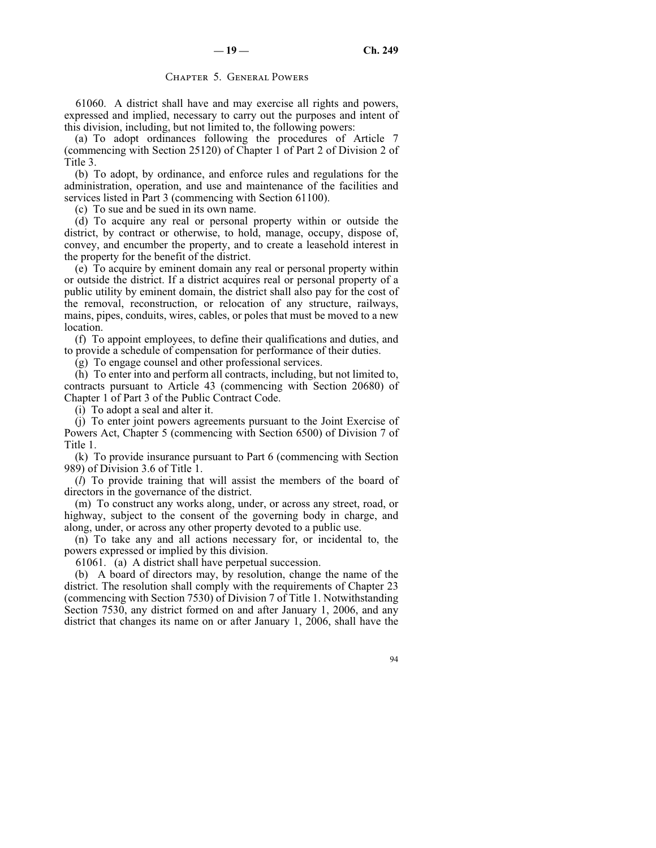# Chapter 5. General Powers

61060. A district shall have and may exercise all rights and powers, expressed and implied, necessary to carry out the purposes and intent of this division, including, but not limited to, the following powers:

(a) To adopt ordinances following the procedures of Article 7 (commencing with Section 25120) of Chapter 1 of Part 2 of Division 2 of Title 3.

(b) To adopt, by ordinance, and enforce rules and regulations for the administration, operation, and use and maintenance of the facilities and services listed in Part 3 (commencing with Section 61100).

(c) To sue and be sued in its own name.

(d) To acquire any real or personal property within or outside the district, by contract or otherwise, to hold, manage, occupy, dispose of, convey, and encumber the property, and to create a leasehold interest in the property for the benefit of the district.

(e) To acquire by eminent domain any real or personal property within or outside the district. If a district acquires real or personal property of a public utility by eminent domain, the district shall also pay for the cost of the removal, reconstruction, or relocation of any structure, railways, mains, pipes, conduits, wires, cables, or poles that must be moved to a new location.

(f) To appoint employees, to define their qualifications and duties, and to provide a schedule of compensation for performance of their duties.

(g) To engage counsel and other professional services.

(h) To enter into and perform all contracts, including, but not limited to, contracts pursuant to Article 43 (commencing with Section 20680) of Chapter 1 of Part 3 of the Public Contract Code.

(i) To adopt a seal and alter it.

(j) To enter joint powers agreements pursuant to the Joint Exercise of Powers Act, Chapter 5 (commencing with Section 6500) of Division 7 of Title 1.

(k) To provide insurance pursuant to Part 6 (commencing with Section 989) of Division 3.6 of Title 1.

(*l*) To provide training that will assist the members of the board of directors in the governance of the district.

(m) To construct any works along, under, or across any street, road, or highway, subject to the consent of the governing body in charge, and along, under, or across any other property devoted to a public use.

(n) To take any and all actions necessary for, or incidental to, the powers expressed or implied by this division.

61061. (a) A district shall have perpetual succession.

(b) A board of directors may, by resolution, change the name of the district. The resolution shall comply with the requirements of Chapter 23 (commencing with Section 7530) of Division 7 of Title 1. Notwithstanding Section 7530, any district formed on and after January 1, 2006, and any district that changes its name on or after January 1, 2006, shall have the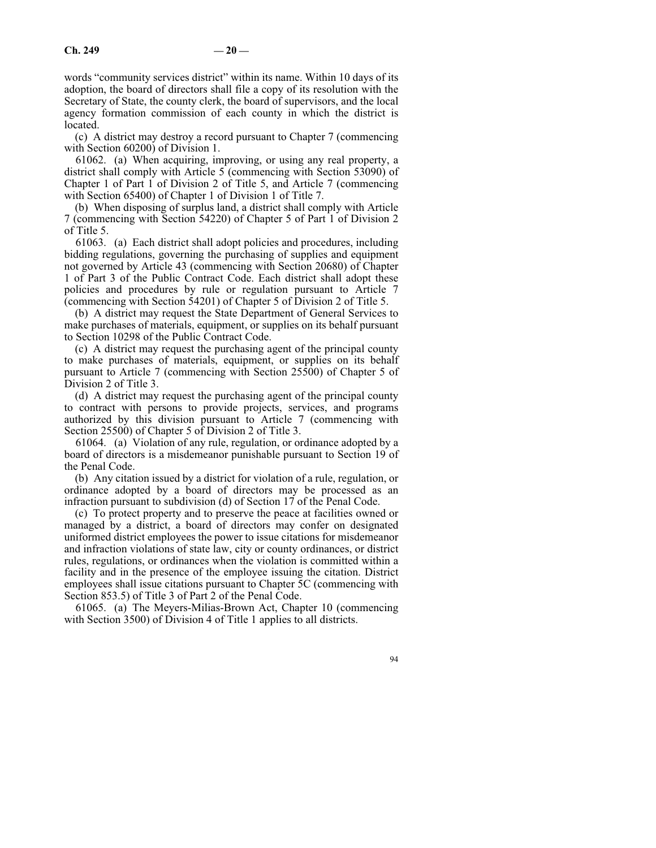words "community services district" within its name. Within 10 days of its adoption, the board of directors shall file a copy of its resolution with the Secretary of State, the county clerk, the board of supervisors, and the local agency formation commission of each county in which the district is located.

(c) A district may destroy a record pursuant to Chapter 7 (commencing with Section 60200) of Division 1.

61062. (a) When acquiring, improving, or using any real property, a district shall comply with Article 5 (commencing with Section 53090) of Chapter 1 of Part 1 of Division 2 of Title 5, and Article 7 (commencing with Section 65400) of Chapter 1 of Division 1 of Title 7.

(b) When disposing of surplus land, a district shall comply with Article 7 (commencing with Section 54220) of Chapter 5 of Part 1 of Division 2 of Title 5.

61063. (a) Each district shall adopt policies and procedures, including bidding regulations, governing the purchasing of supplies and equipment not governed by Article 43 (commencing with Section 20680) of Chapter 1 of Part 3 of the Public Contract Code. Each district shall adopt these policies and procedures by rule or regulation pursuant to Article 7 (commencing with Section 54201) of Chapter 5 of Division 2 of Title 5.

(b) A district may request the State Department of General Services to make purchases of materials, equipment, or supplies on its behalf pursuant to Section 10298 of the Public Contract Code.

(c) A district may request the purchasing agent of the principal county to make purchases of materials, equipment, or supplies on its behalf pursuant to Article 7 (commencing with Section 25500) of Chapter 5 of Division 2 of Title 3.

(d) A district may request the purchasing agent of the principal county to contract with persons to provide projects, services, and programs authorized by this division pursuant to Article 7 (commencing with Section 25500) of Chapter 5 of Division 2 of Title 3.

61064. (a) Violation of any rule, regulation, or ordinance adopted by a board of directors is a misdemeanor punishable pursuant to Section 19 of the Penal Code.

(b) Any citation issued by a district for violation of a rule, regulation, or ordinance adopted by a board of directors may be processed as an infraction pursuant to subdivision (d) of Section 17 of the Penal Code.

(c) To protect property and to preserve the peace at facilities owned or managed by a district, a board of directors may confer on designated uniformed district employees the power to issue citations for misdemeanor and infraction violations of state law, city or county ordinances, or district rules, regulations, or ordinances when the violation is committed within a facility and in the presence of the employee issuing the citation. District employees shall issue citations pursuant to Chapter 5C (commencing with Section 853.5) of Title 3 of Part 2 of the Penal Code.

61065. (a) The Meyers-Milias-Brown Act, Chapter 10 (commencing with Section 3500) of Division 4 of Title 1 applies to all districts.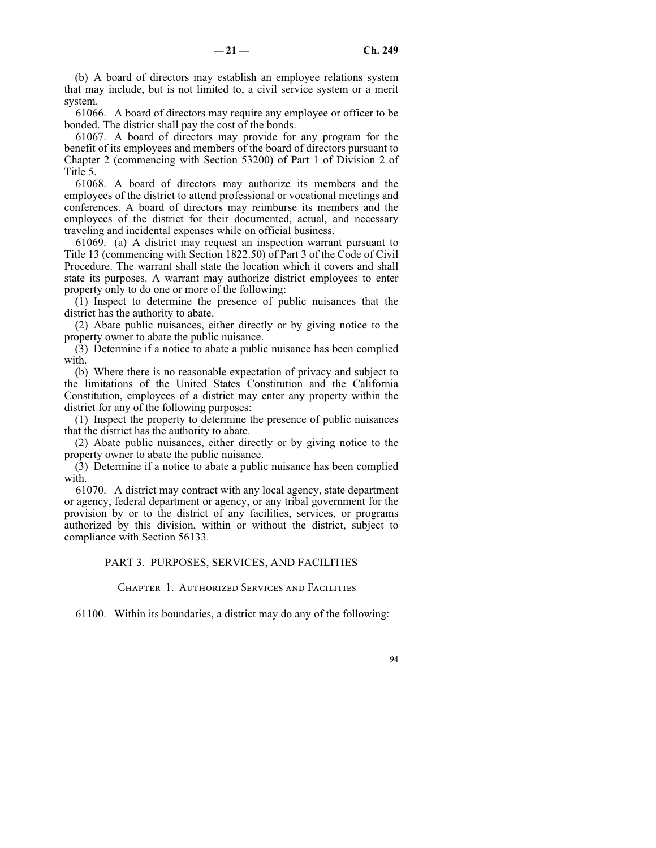(b) A board of directors may establish an employee relations system that may include, but is not limited to, a civil service system or a merit system.

61066. A board of directors may require any employee or officer to be bonded. The district shall pay the cost of the bonds.

61067. A board of directors may provide for any program for the benefit of its employees and members of the board of directors pursuant to Chapter 2 (commencing with Section 53200) of Part 1 of Division 2 of Title 5.

61068. A board of directors may authorize its members and the employees of the district to attend professional or vocational meetings and conferences. A board of directors may reimburse its members and the employees of the district for their documented, actual, and necessary traveling and incidental expenses while on official business.

61069. (a) A district may request an inspection warrant pursuant to Title 13 (commencing with Section 1822.50) of Part 3 of the Code of Civil Procedure. The warrant shall state the location which it covers and shall state its purposes. A warrant may authorize district employees to enter property only to do one or more of the following:

(1) Inspect to determine the presence of public nuisances that the district has the authority to abate.

(2) Abate public nuisances, either directly or by giving notice to the property owner to abate the public nuisance.

(3) Determine if a notice to abate a public nuisance has been complied with.

(b) Where there is no reasonable expectation of privacy and subject to the limitations of the United States Constitution and the California Constitution, employees of a district may enter any property within the district for any of the following purposes:

(1) Inspect the property to determine the presence of public nuisances that the district has the authority to abate.

(2) Abate public nuisances, either directly or by giving notice to the property owner to abate the public nuisance.

(3) Determine if a notice to abate a public nuisance has been complied with.

61070. A district may contract with any local agency, state department or agency, federal department or agency, or any tribal government for the provision by or to the district of any facilities, services, or programs authorized by this division, within or without the district, subject to compliance with Section 56133.

### PART 3. PURPOSES, SERVICES, AND FACILITIES

Chapter 1. Authorized Services and Facilities

61100. Within its boundaries, a district may do any of the following: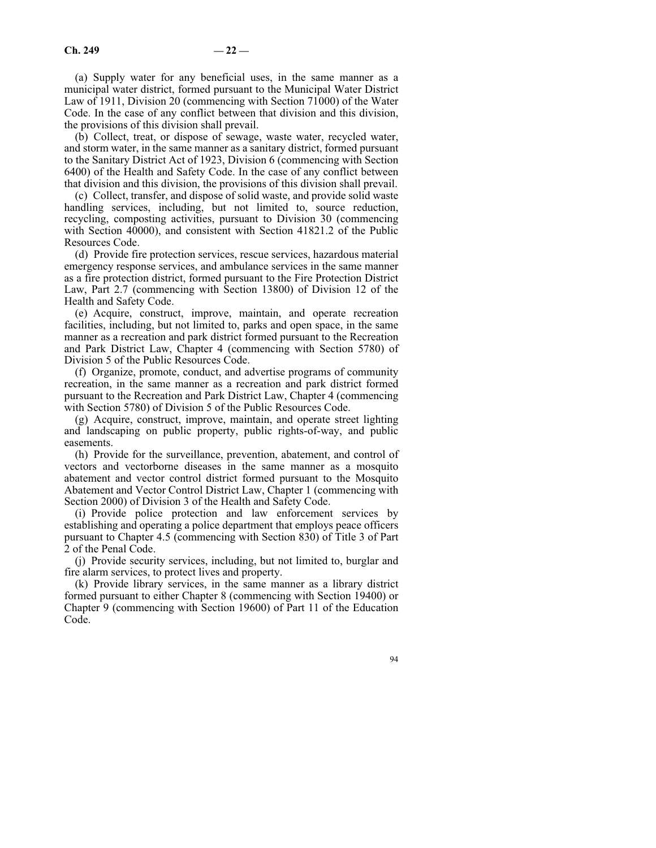(a) Supply water for any beneficial uses, in the same manner as a municipal water district, formed pursuant to the Municipal Water District Law of 1911, Division 20 (commencing with Section 71000) of the Water Code. In the case of any conflict between that division and this division, the provisions of this division shall prevail.

(b) Collect, treat, or dispose of sewage, waste water, recycled water, and storm water, in the same manner as a sanitary district, formed pursuant to the Sanitary District Act of 1923, Division 6 (commencing with Section 6400) of the Health and Safety Code. In the case of any conflict between that division and this division, the provisions of this division shall prevail.

(c) Collect, transfer, and dispose of solid waste, and provide solid waste handling services, including, but not limited to, source reduction, recycling, composting activities, pursuant to Division 30 (commencing with Section 40000), and consistent with Section 41821.2 of the Public Resources Code.

(d) Provide fire protection services, rescue services, hazardous material emergency response services, and ambulance services in the same manner as a fire protection district, formed pursuant to the Fire Protection District Law, Part 2.7 (commencing with Section 13800) of Division 12 of the Health and Safety Code.

(e) Acquire, construct, improve, maintain, and operate recreation facilities, including, but not limited to, parks and open space, in the same manner as a recreation and park district formed pursuant to the Recreation and Park District Law, Chapter 4 (commencing with Section 5780) of Division 5 of the Public Resources Code.

(f) Organize, promote, conduct, and advertise programs of community recreation, in the same manner as a recreation and park district formed pursuant to the Recreation and Park District Law, Chapter 4 (commencing with Section 5780) of Division 5 of the Public Resources Code.

(g) Acquire, construct, improve, maintain, and operate street lighting and landscaping on public property, public rights-of-way, and public easements.

(h) Provide for the surveillance, prevention, abatement, and control of vectors and vectorborne diseases in the same manner as a mosquito abatement and vector control district formed pursuant to the Mosquito Abatement and Vector Control District Law, Chapter 1 (commencing with Section 2000) of Division 3 of the Health and Safety Code.

(i) Provide police protection and law enforcement services by establishing and operating a police department that employs peace officers pursuant to Chapter 4.5 (commencing with Section 830) of Title 3 of Part 2 of the Penal Code.

(j) Provide security services, including, but not limited to, burglar and fire alarm services, to protect lives and property.

(k) Provide library services, in the same manner as a library district formed pursuant to either Chapter 8 (commencing with Section 19400) or Chapter 9 (commencing with Section 19600) of Part 11 of the Education Code.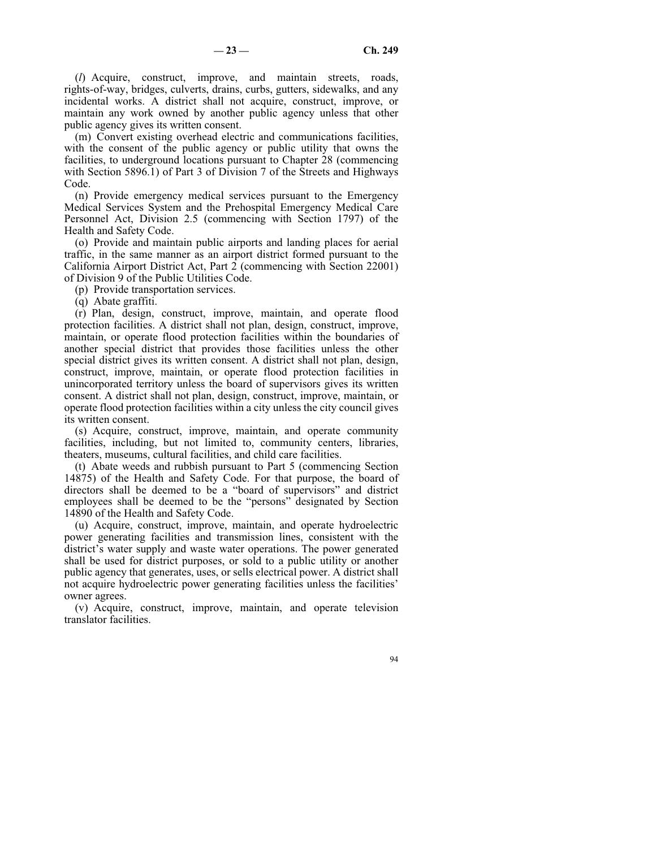(*l*) Acquire, construct, improve, and maintain streets, roads, rights-of-way, bridges, culverts, drains, curbs, gutters, sidewalks, and any incidental works. A district shall not acquire, construct, improve, or maintain any work owned by another public agency unless that other public agency gives its written consent.

(m) Convert existing overhead electric and communications facilities, with the consent of the public agency or public utility that owns the facilities, to underground locations pursuant to Chapter 28 (commencing with Section 5896.1) of Part 3 of Division 7 of the Streets and Highways Code.

(n) Provide emergency medical services pursuant to the Emergency Medical Services System and the Prehospital Emergency Medical Care Personnel Act, Division 2.5 (commencing with Section 1797) of the Health and Safety Code.

(o) Provide and maintain public airports and landing places for aerial traffic, in the same manner as an airport district formed pursuant to the California Airport District Act, Part 2 (commencing with Section 22001) of Division 9 of the Public Utilities Code.

(p) Provide transportation services.

(q) Abate graffiti.

(r) Plan, design, construct, improve, maintain, and operate flood protection facilities. A district shall not plan, design, construct, improve, maintain, or operate flood protection facilities within the boundaries of another special district that provides those facilities unless the other special district gives its written consent. A district shall not plan, design, construct, improve, maintain, or operate flood protection facilities in unincorporated territory unless the board of supervisors gives its written consent. A district shall not plan, design, construct, improve, maintain, or operate flood protection facilities within a city unless the city council gives its written consent.

(s) Acquire, construct, improve, maintain, and operate community facilities, including, but not limited to, community centers, libraries, theaters, museums, cultural facilities, and child care facilities.

(t) Abate weeds and rubbish pursuant to Part 5 (commencing Section 14875) of the Health and Safety Code. For that purpose, the board of directors shall be deemed to be a "board of supervisors" and district employees shall be deemed to be the "persons" designated by Section 14890 of the Health and Safety Code.

(u) Acquire, construct, improve, maintain, and operate hydroelectric power generating facilities and transmission lines, consistent with the district's water supply and waste water operations. The power generated shall be used for district purposes, or sold to a public utility or another public agency that generates, uses, or sells electrical power. A district shall not acquire hydroelectric power generating facilities unless the facilities' owner agrees.

(v) Acquire, construct, improve, maintain, and operate television translator facilities.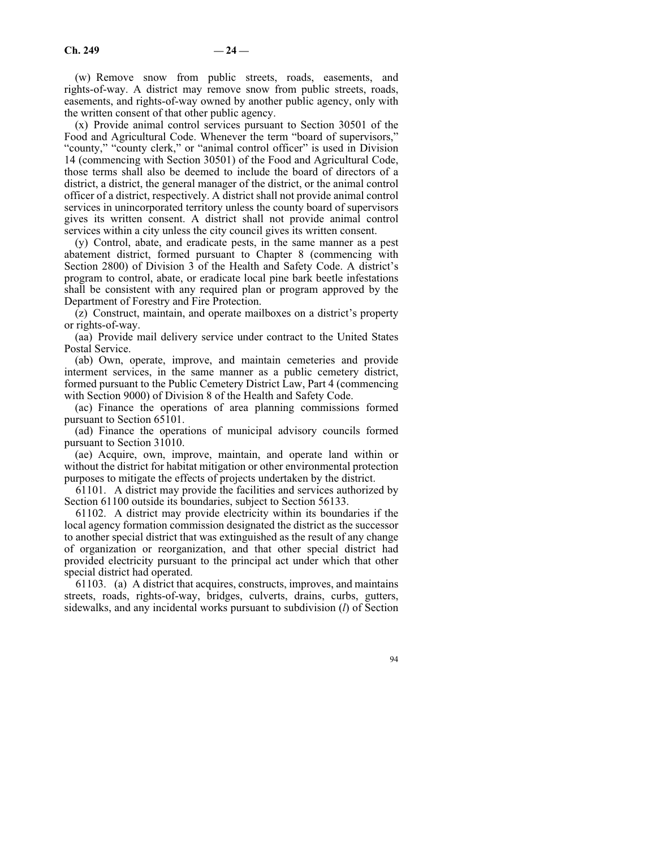(w) Remove snow from public streets, roads, easements, and rights-of-way. A district may remove snow from public streets, roads, easements, and rights-of-way owned by another public agency, only with the written consent of that other public agency.

(x) Provide animal control services pursuant to Section 30501 of the Food and Agricultural Code. Whenever the term "board of supervisors," "county," "county clerk," or "animal control officer" is used in Division 14 (commencing with Section 30501) of the Food and Agricultural Code, those terms shall also be deemed to include the board of directors of a district, a district, the general manager of the district, or the animal control officer of a district, respectively. A district shall not provide animal control services in unincorporated territory unless the county board of supervisors gives its written consent. A district shall not provide animal control services within a city unless the city council gives its written consent.

(y) Control, abate, and eradicate pests, in the same manner as a pest abatement district, formed pursuant to Chapter 8 (commencing with Section 2800) of Division 3 of the Health and Safety Code. A district's program to control, abate, or eradicate local pine bark beetle infestations shall be consistent with any required plan or program approved by the Department of Forestry and Fire Protection.

(z) Construct, maintain, and operate mailboxes on a district's property or rights-of-way.

(aa) Provide mail delivery service under contract to the United States Postal Service.

(ab) Own, operate, improve, and maintain cemeteries and provide interment services, in the same manner as a public cemetery district, formed pursuant to the Public Cemetery District Law, Part 4 (commencing with Section 9000) of Division 8 of the Health and Safety Code.

(ac) Finance the operations of area planning commissions formed pursuant to Section 65101.

(ad) Finance the operations of municipal advisory councils formed pursuant to Section 31010.

(ae) Acquire, own, improve, maintain, and operate land within or without the district for habitat mitigation or other environmental protection purposes to mitigate the effects of projects undertaken by the district.

61101. A district may provide the facilities and services authorized by Section 61100 outside its boundaries, subject to Section 56133.

61102. A district may provide electricity within its boundaries if the local agency formation commission designated the district as the successor to another special district that was extinguished as the result of any change of organization or reorganization, and that other special district had provided electricity pursuant to the principal act under which that other special district had operated.

61103. (a) A district that acquires, constructs, improves, and maintains streets, roads, rights-of-way, bridges, culverts, drains, curbs, gutters, sidewalks, and any incidental works pursuant to subdivision (*l*) of Section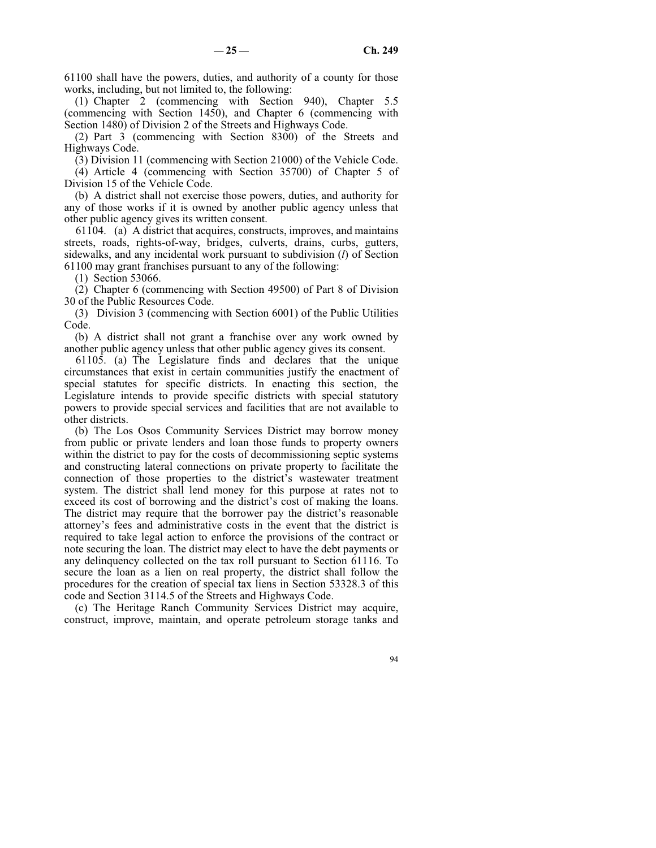61100 shall have the powers, duties, and authority of a county for those works, including, but not limited to, the following:

(1) Chapter 2 (commencing with Section 940), Chapter 5.5 (commencing with Section 1450), and Chapter 6 (commencing with Section 1480) of Division 2 of the Streets and Highways Code.

(2) Part 3 (commencing with Section 8300) of the Streets and Highways Code.

(3) Division 11 (commencing with Section 21000) of the Vehicle Code.

(4) Article 4 (commencing with Section 35700) of Chapter 5 of Division 15 of the Vehicle Code.

(b) A district shall not exercise those powers, duties, and authority for any of those works if it is owned by another public agency unless that other public agency gives its written consent.

61104. (a) A district that acquires, constructs, improves, and maintains streets, roads, rights-of-way, bridges, culverts, drains, curbs, gutters, sidewalks, and any incidental work pursuant to subdivision (*l*) of Section 61100 may grant franchises pursuant to any of the following:

(1) Section 53066.

(2) Chapter 6 (commencing with Section 49500) of Part 8 of Division 30 of the Public Resources Code.

(3) Division 3 (commencing with Section 6001) of the Public Utilities Code.

(b) A district shall not grant a franchise over any work owned by another public agency unless that other public agency gives its consent.

61105. (a) The Legislature finds and declares that the unique circumstances that exist in certain communities justify the enactment of special statutes for specific districts. In enacting this section, the Legislature intends to provide specific districts with special statutory powers to provide special services and facilities that are not available to other districts.

(b) The Los Osos Community Services District may borrow money from public or private lenders and loan those funds to property owners within the district to pay for the costs of decommissioning septic systems and constructing lateral connections on private property to facilitate the connection of those properties to the district's wastewater treatment system. The district shall lend money for this purpose at rates not to exceed its cost of borrowing and the district's cost of making the loans. The district may require that the borrower pay the district's reasonable attorney's fees and administrative costs in the event that the district is required to take legal action to enforce the provisions of the contract or note securing the loan. The district may elect to have the debt payments or any delinquency collected on the tax roll pursuant to Section 61116. To secure the loan as a lien on real property, the district shall follow the procedures for the creation of special tax liens in Section 53328.3 of this code and Section 3114.5 of the Streets and Highways Code.

(c) The Heritage Ranch Community Services District may acquire, construct, improve, maintain, and operate petroleum storage tanks and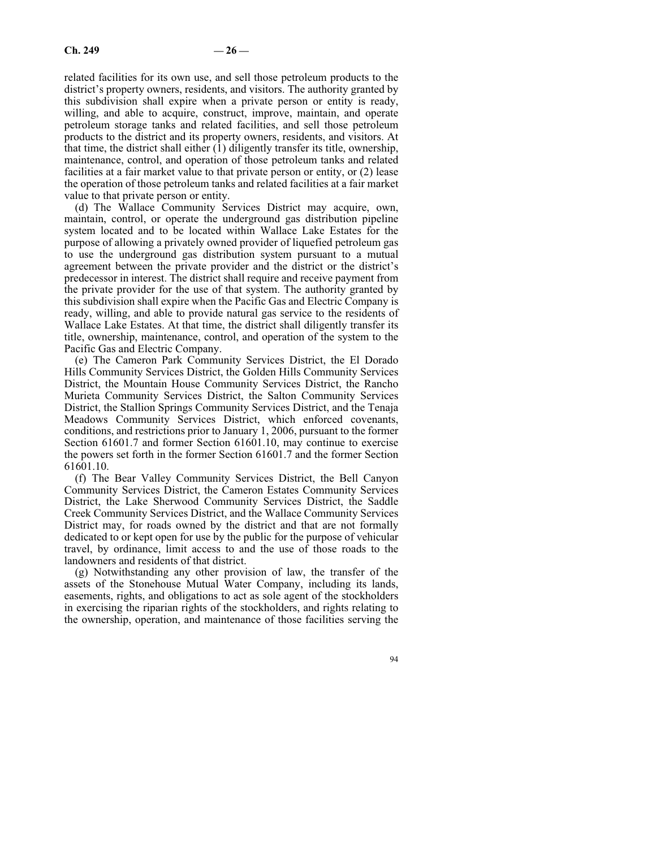related facilities for its own use, and sell those petroleum products to the district's property owners, residents, and visitors. The authority granted by this subdivision shall expire when a private person or entity is ready, willing, and able to acquire, construct, improve, maintain, and operate petroleum storage tanks and related facilities, and sell those petroleum products to the district and its property owners, residents, and visitors. At that time, the district shall either  $(1)$  diligently transfer its title, ownership, maintenance, control, and operation of those petroleum tanks and related facilities at a fair market value to that private person or entity, or (2) lease the operation of those petroleum tanks and related facilities at a fair market value to that private person or entity.

(d) The Wallace Community Services District may acquire, own, maintain, control, or operate the underground gas distribution pipeline system located and to be located within Wallace Lake Estates for the purpose of allowing a privately owned provider of liquefied petroleum gas to use the underground gas distribution system pursuant to a mutual agreement between the private provider and the district or the district's predecessor in interest. The district shall require and receive payment from the private provider for the use of that system. The authority granted by this subdivision shall expire when the Pacific Gas and Electric Company is ready, willing, and able to provide natural gas service to the residents of Wallace Lake Estates. At that time, the district shall diligently transfer its title, ownership, maintenance, control, and operation of the system to the Pacific Gas and Electric Company.

(e) The Cameron Park Community Services District, the El Dorado Hills Community Services District, the Golden Hills Community Services District, the Mountain House Community Services District, the Rancho Murieta Community Services District, the Salton Community Services District, the Stallion Springs Community Services District, and the Tenaja Meadows Community Services District, which enforced covenants, conditions, and restrictions prior to January 1, 2006, pursuant to the former Section 61601.7 and former Section 61601.10, may continue to exercise the powers set forth in the former Section 61601.7 and the former Section 61601.10.

(f) The Bear Valley Community Services District, the Bell Canyon Community Services District, the Cameron Estates Community Services District, the Lake Sherwood Community Services District, the Saddle Creek Community Services District, and the Wallace Community Services District may, for roads owned by the district and that are not formally dedicated to or kept open for use by the public for the purpose of vehicular travel, by ordinance, limit access to and the use of those roads to the landowners and residents of that district.

(g) Notwithstanding any other provision of law, the transfer of the assets of the Stonehouse Mutual Water Company, including its lands, easements, rights, and obligations to act as sole agent of the stockholders in exercising the riparian rights of the stockholders, and rights relating to the ownership, operation, and maintenance of those facilities serving the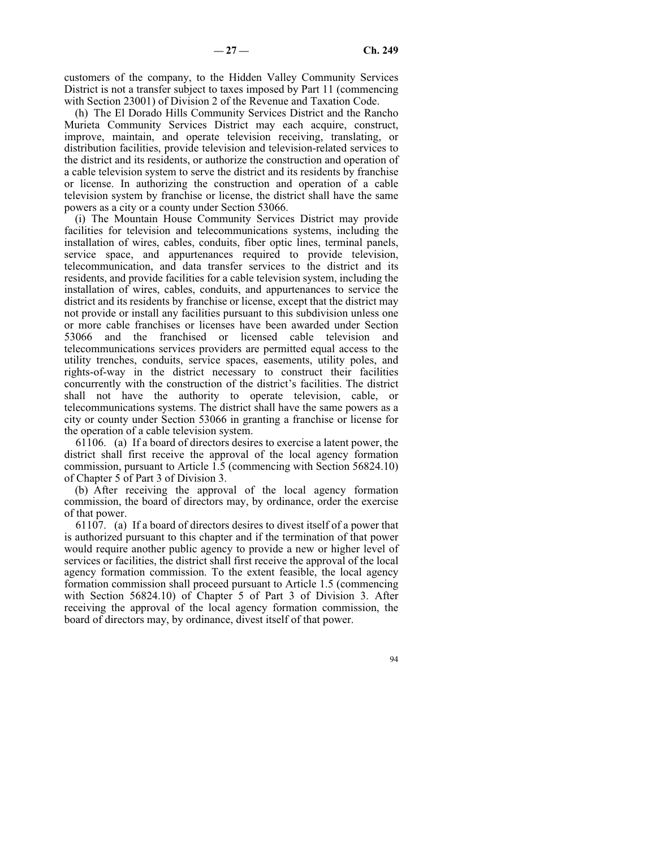customers of the company, to the Hidden Valley Community Services District is not a transfer subject to taxes imposed by Part 11 (commencing with Section 23001) of Division 2 of the Revenue and Taxation Code.

(h) The El Dorado Hills Community Services District and the Rancho Murieta Community Services District may each acquire, construct, improve, maintain, and operate television receiving, translating, or distribution facilities, provide television and television-related services to the district and its residents, or authorize the construction and operation of a cable television system to serve the district and its residents by franchise or license. In authorizing the construction and operation of a cable television system by franchise or license, the district shall have the same powers as a city or a county under Section 53066.

(i) The Mountain House Community Services District may provide facilities for television and telecommunications systems, including the installation of wires, cables, conduits, fiber optic lines, terminal panels, service space, and appurtenances required to provide television, telecommunication, and data transfer services to the district and its residents, and provide facilities for a cable television system, including the installation of wires, cables, conduits, and appurtenances to service the district and its residents by franchise or license, except that the district may not provide or install any facilities pursuant to this subdivision unless one or more cable franchises or licenses have been awarded under Section 53066 and the franchised or licensed cable television and telecommunications services providers are permitted equal access to the utility trenches, conduits, service spaces, easements, utility poles, and rights-of-way in the district necessary to construct their facilities concurrently with the construction of the district's facilities. The district shall not have the authority to operate television, cable, or telecommunications systems. The district shall have the same powers as a city or county under Section 53066 in granting a franchise or license for the operation of a cable television system.

61106. (a) If a board of directors desires to exercise a latent power, the district shall first receive the approval of the local agency formation commission, pursuant to Article 1.5 (commencing with Section 56824.10) of Chapter 5 of Part 3 of Division 3.

(b) After receiving the approval of the local agency formation commission, the board of directors may, by ordinance, order the exercise of that power.

61107. (a) If a board of directors desires to divest itself of a power that is authorized pursuant to this chapter and if the termination of that power would require another public agency to provide a new or higher level of services or facilities, the district shall first receive the approval of the local agency formation commission. To the extent feasible, the local agency formation commission shall proceed pursuant to Article 1.5 (commencing with Section 56824.10) of Chapter 5 of Part 3 of Division 3. After receiving the approval of the local agency formation commission, the board of directors may, by ordinance, divest itself of that power.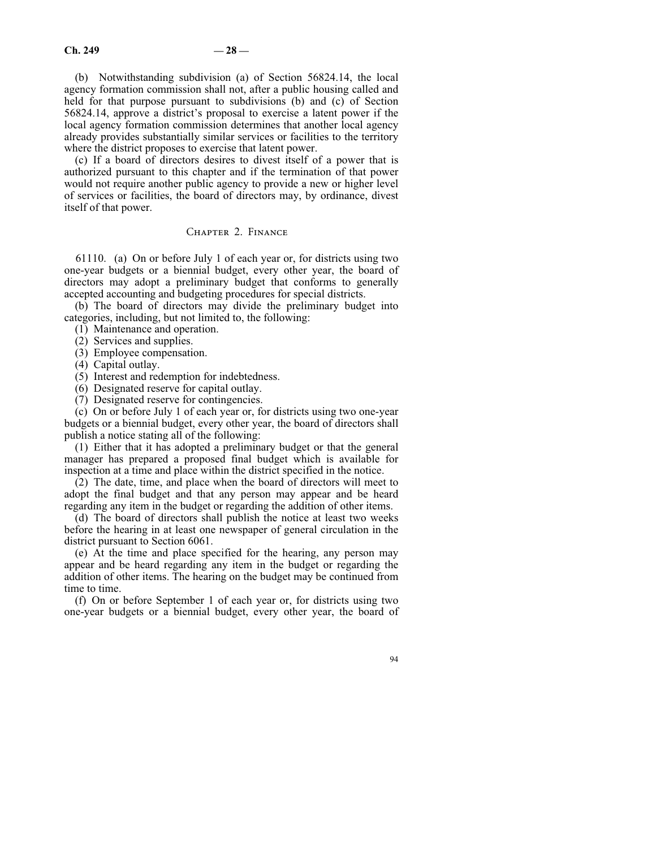(b) Notwithstanding subdivision (a) of Section 56824.14, the local agency formation commission shall not, after a public housing called and held for that purpose pursuant to subdivisions (b) and (c) of Section 56824.14, approve a district's proposal to exercise a latent power if the local agency formation commission determines that another local agency already provides substantially similar services or facilities to the territory where the district proposes to exercise that latent power.

(c) If a board of directors desires to divest itself of a power that is authorized pursuant to this chapter and if the termination of that power would not require another public agency to provide a new or higher level of services or facilities, the board of directors may, by ordinance, divest itself of that power.

# Chapter 2. Finance

61110. (a) On or before July 1 of each year or, for districts using two one-year budgets or a biennial budget, every other year, the board of directors may adopt a preliminary budget that conforms to generally accepted accounting and budgeting procedures for special districts.

(b) The board of directors may divide the preliminary budget into categories, including, but not limited to, the following:

(1) Maintenance and operation.

(2) Services and supplies.

(3) Employee compensation.

(4) Capital outlay.

(5) Interest and redemption for indebtedness.

(6) Designated reserve for capital outlay.

(7) Designated reserve for contingencies.

(c) On or before July 1 of each year or, for districts using two one-year budgets or a biennial budget, every other year, the board of directors shall publish a notice stating all of the following:

(1) Either that it has adopted a preliminary budget or that the general manager has prepared a proposed final budget which is available for inspection at a time and place within the district specified in the notice.

(2) The date, time, and place when the board of directors will meet to adopt the final budget and that any person may appear and be heard regarding any item in the budget or regarding the addition of other items.

(d) The board of directors shall publish the notice at least two weeks before the hearing in at least one newspaper of general circulation in the district pursuant to Section 6061.

(e) At the time and place specified for the hearing, any person may appear and be heard regarding any item in the budget or regarding the addition of other items. The hearing on the budget may be continued from time to time.

(f) On or before September 1 of each year or, for districts using two one-year budgets or a biennial budget, every other year, the board of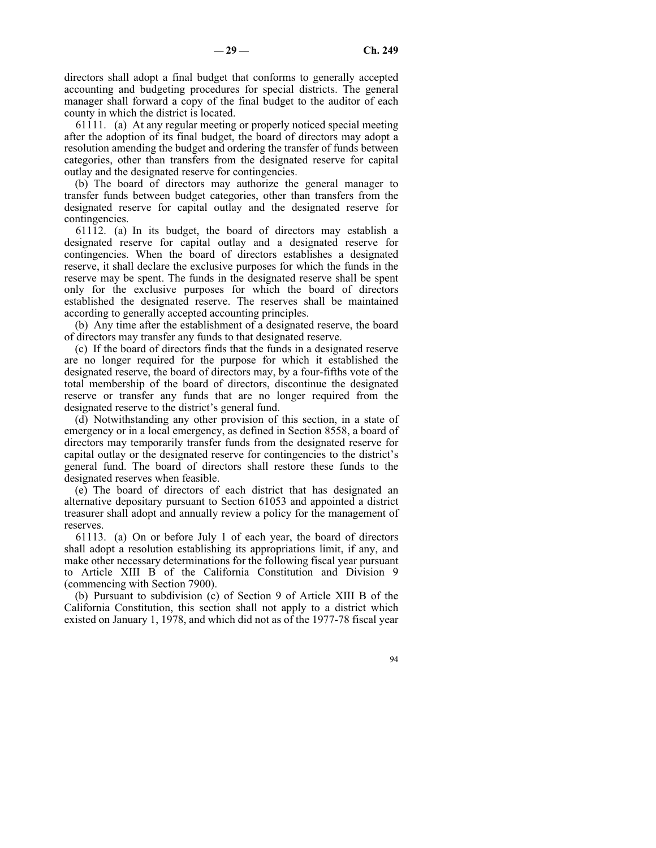directors shall adopt a final budget that conforms to generally accepted accounting and budgeting procedures for special districts. The general manager shall forward a copy of the final budget to the auditor of each county in which the district is located.

61111. (a) At any regular meeting or properly noticed special meeting after the adoption of its final budget, the board of directors may adopt a resolution amending the budget and ordering the transfer of funds between categories, other than transfers from the designated reserve for capital outlay and the designated reserve for contingencies.

(b) The board of directors may authorize the general manager to transfer funds between budget categories, other than transfers from the designated reserve for capital outlay and the designated reserve for contingencies.

61112. (a) In its budget, the board of directors may establish a designated reserve for capital outlay and a designated reserve for contingencies. When the board of directors establishes a designated reserve, it shall declare the exclusive purposes for which the funds in the reserve may be spent. The funds in the designated reserve shall be spent only for the exclusive purposes for which the board of directors established the designated reserve. The reserves shall be maintained according to generally accepted accounting principles.

(b) Any time after the establishment of a designated reserve, the board of directors may transfer any funds to that designated reserve.

(c) If the board of directors finds that the funds in a designated reserve are no longer required for the purpose for which it established the designated reserve, the board of directors may, by a four-fifths vote of the total membership of the board of directors, discontinue the designated reserve or transfer any funds that are no longer required from the designated reserve to the district's general fund.

(d) Notwithstanding any other provision of this section, in a state of emergency or in a local emergency, as defined in Section 8558, a board of directors may temporarily transfer funds from the designated reserve for capital outlay or the designated reserve for contingencies to the district's general fund. The board of directors shall restore these funds to the designated reserves when feasible.

(e) The board of directors of each district that has designated an alternative depositary pursuant to Section 61053 and appointed a district treasurer shall adopt and annually review a policy for the management of reserves.

61113. (a) On or before July 1 of each year, the board of directors shall adopt a resolution establishing its appropriations limit, if any, and make other necessary determinations for the following fiscal year pursuant to Article XIII B of the California Constitution and Division 9 (commencing with Section 7900).

(b) Pursuant to subdivision (c) of Section 9 of Article XIII B of the California Constitution, this section shall not apply to a district which existed on January 1, 1978, and which did not as of the 1977-78 fiscal year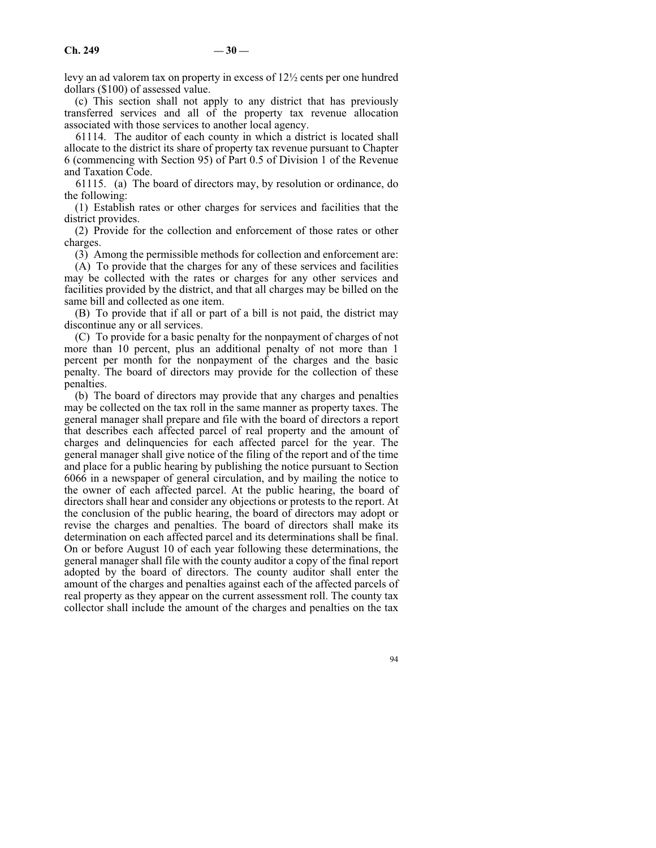levy an ad valorem tax on property in excess of 12½ cents per one hundred dollars (\$100) of assessed value.

(c) This section shall not apply to any district that has previously transferred services and all of the property tax revenue allocation associated with those services to another local agency.

61114. The auditor of each county in which a district is located shall allocate to the district its share of property tax revenue pursuant to Chapter 6 (commencing with Section 95) of Part 0.5 of Division 1 of the Revenue and Taxation Code.

61115. (a) The board of directors may, by resolution or ordinance, do the following:

(1) Establish rates or other charges for services and facilities that the district provides.

(2) Provide for the collection and enforcement of those rates or other charges.

(3) Among the permissible methods for collection and enforcement are:

(A) To provide that the charges for any of these services and facilities may be collected with the rates or charges for any other services and facilities provided by the district, and that all charges may be billed on the same bill and collected as one item.

(B) To provide that if all or part of a bill is not paid, the district may discontinue any or all services.

(C) To provide for a basic penalty for the nonpayment of charges of not more than 10 percent, plus an additional penalty of not more than 1 percent per month for the nonpayment of the charges and the basic penalty. The board of directors may provide for the collection of these penalties.

(b) The board of directors may provide that any charges and penalties may be collected on the tax roll in the same manner as property taxes. The general manager shall prepare and file with the board of directors a report that describes each affected parcel of real property and the amount of charges and delinquencies for each affected parcel for the year. The general manager shall give notice of the filing of the report and of the time and place for a public hearing by publishing the notice pursuant to Section 6066 in a newspaper of general circulation, and by mailing the notice to the owner of each affected parcel. At the public hearing, the board of directors shall hear and consider any objections or protests to the report. At the conclusion of the public hearing, the board of directors may adopt or revise the charges and penalties. The board of directors shall make its determination on each affected parcel and its determinations shall be final. On or before August 10 of each year following these determinations, the general manager shall file with the county auditor a copy of the final report adopted by the board of directors. The county auditor shall enter the amount of the charges and penalties against each of the affected parcels of real property as they appear on the current assessment roll. The county tax collector shall include the amount of the charges and penalties on the tax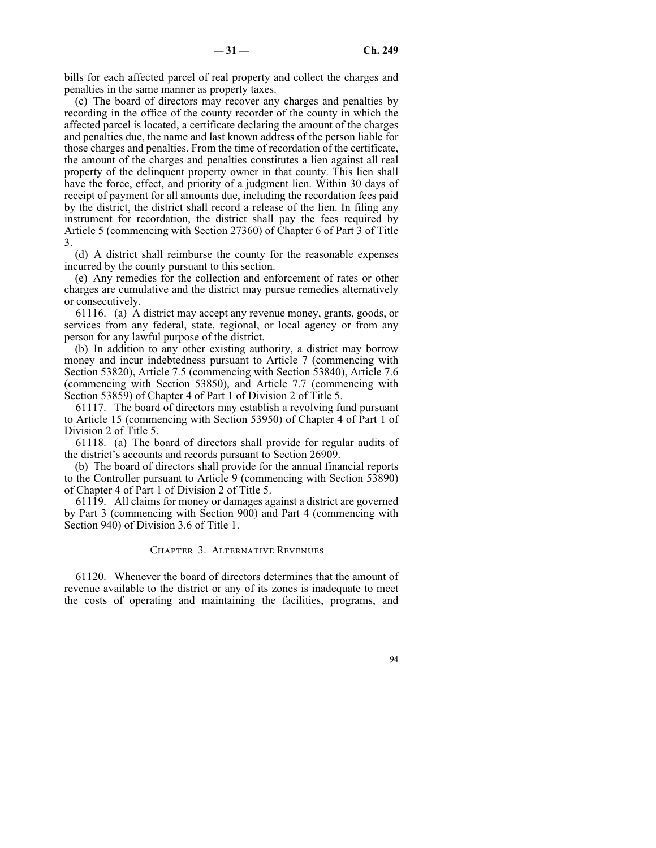bills for each affected parcel of real property and collect the charges and penalties in the same manner as property taxes.

(c) The board of directors may recover any charges and penalties by recording in the office of the county recorder of the county in which the affected parcel is located, a certificate declaring the amount of the charges and penalties due, the name and last known address of the person liable for those charges and penalties. From the time of recordation of the certificate, the amount of the charges and penalties constitutes a lien against all real property of the delinquent property owner in that county. This lien shall have the force, effect, and priority of a judgment lien. Within 30 days of receipt of payment for all amounts due, including the recordation fees paid by the district, the district shall record a release of the lien. In filing any instrument for recordation, the district shall pay the fees required by Article 5 (commencing with Section 27360) of Chapter 6 of Part 3 of Title 3.

(d) A district shall reimburse the county for the reasonable expenses incurred by the county pursuant to this section.

(e) Any remedies for the collection and enforcement of rates or other charges are cumulative and the district may pursue remedies alternatively or consecutively.

61116. (a) A district may accept any revenue money, grants, goods, or services from any federal, state, regional, or local agency or from any person for any lawful purpose of the district.

(b) In addition to any other existing authority, a district may borrow money and incur indebtedness pursuant to Article 7 (commencing with Section 53820), Article 7.5 (commencing with Section 53840), Article 7.6 (commencing with Section 53850), and Article 7.7 (commencing with Section 53859) of Chapter 4 of Part 1 of Division 2 of Title 5.

61117. The board of directors may establish a revolving fund pursuant to Article 15 (commencing with Section 53950) of Chapter 4 of Part 1 of Division 2 of Title 5.

61118. (a) The board of directors shall provide for regular audits of the district's accounts and records pursuant to Section 26909.

(b) The board of directors shall provide for the annual financial reports to the Controller pursuant to Article 9 (commencing with Section 53890) of Chapter 4 of Part 1 of Division 2 of Title 5.

61119. All claims for money or damages against a district are governed by Part 3 (commencing with Section 900) and Part 4 (commencing with Section 940) of Division 3.6 of Title 1.

#### Chapter 3. Alternative Revenues

61120. Whenever the board of directors determines that the amount of revenue available to the district or any of its zones is inadequate to meet the costs of operating and maintaining the facilities, programs, and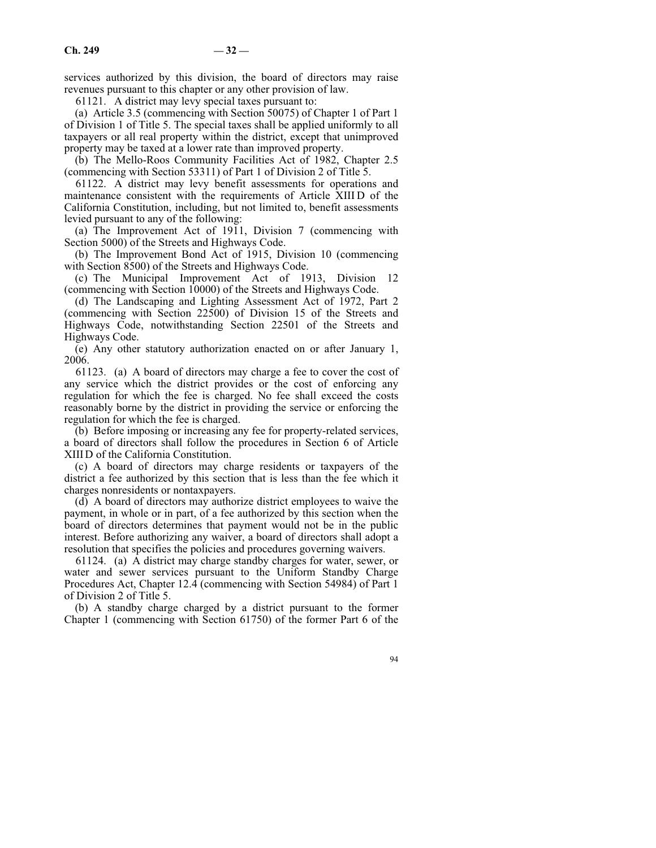services authorized by this division, the board of directors may raise revenues pursuant to this chapter or any other provision of law.

61121. A district may levy special taxes pursuant to:

(a) Article 3.5 (commencing with Section 50075) of Chapter 1 of Part 1 of Division 1 of Title 5. The special taxes shall be applied uniformly to all taxpayers or all real property within the district, except that unimproved property may be taxed at a lower rate than improved property.

(b) The Mello-Roos Community Facilities Act of 1982, Chapter 2.5 (commencing with Section 53311) of Part 1 of Division 2 of Title 5.

61122. A district may levy benefit assessments for operations and maintenance consistent with the requirements of Article XIII D of the California Constitution, including, but not limited to, benefit assessments levied pursuant to any of the following:

(a) The Improvement Act of 1911, Division 7 (commencing with Section 5000) of the Streets and Highways Code.

(b) The Improvement Bond Act of 1915, Division 10 (commencing with Section 8500) of the Streets and Highways Code.

(c) The Municipal Improvement Act of 1913, Division 12 (commencing with Section 10000) of the Streets and Highways Code.

(d) The Landscaping and Lighting Assessment Act of 1972, Part 2 (commencing with Section 22500) of Division 15 of the Streets and Highways Code, notwithstanding Section 22501 of the Streets and Highways Code.

(e) Any other statutory authorization enacted on or after January 1, 2006.

61123. (a) A board of directors may charge a fee to cover the cost of any service which the district provides or the cost of enforcing any regulation for which the fee is charged. No fee shall exceed the costs reasonably borne by the district in providing the service or enforcing the regulation for which the fee is charged.

(b) Before imposing or increasing any fee for property-related services, a board of directors shall follow the procedures in Section 6 of Article XIIID of the California Constitution.

(c) A board of directors may charge residents or taxpayers of the district a fee authorized by this section that is less than the fee which it charges nonresidents or nontaxpayers.

(d) A board of directors may authorize district employees to waive the payment, in whole or in part, of a fee authorized by this section when the board of directors determines that payment would not be in the public interest. Before authorizing any waiver, a board of directors shall adopt a resolution that specifies the policies and procedures governing waivers.

61124. (a) A district may charge standby charges for water, sewer, or water and sewer services pursuant to the Uniform Standby Charge Procedures Act, Chapter 12.4 (commencing with Section 54984) of Part 1 of Division 2 of Title 5.

(b) A standby charge charged by a district pursuant to the former Chapter 1 (commencing with Section 61750) of the former Part 6 of the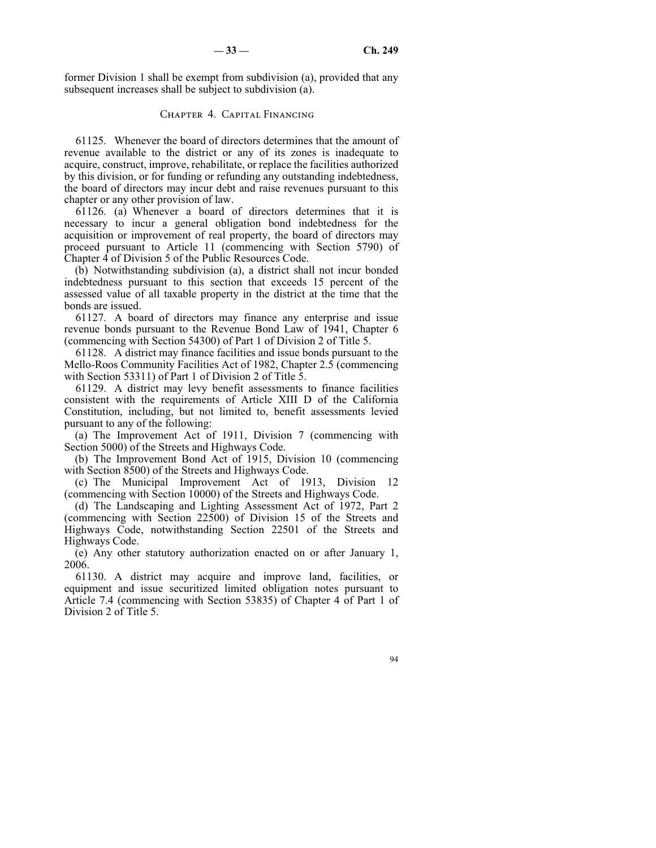former Division 1 shall be exempt from subdivision (a), provided that any subsequent increases shall be subject to subdivision (a).

# Chapter 4. Capital Financing

61125. Whenever the board of directors determines that the amount of revenue available to the district or any of its zones is inadequate to acquire, construct, improve, rehabilitate, or replace the facilities authorized by this division, or for funding or refunding any outstanding indebtedness, the board of directors may incur debt and raise revenues pursuant to this chapter or any other provision of law.

61126. (a) Whenever a board of directors determines that it is necessary to incur a general obligation bond indebtedness for the acquisition or improvement of real property, the board of directors may proceed pursuant to Article 11 (commencing with Section 5790) of Chapter 4 of Division 5 of the Public Resources Code.

(b) Notwithstanding subdivision (a), a district shall not incur bonded indebtedness pursuant to this section that exceeds 15 percent of the assessed value of all taxable property in the district at the time that the bonds are issued.

61127. A board of directors may finance any enterprise and issue revenue bonds pursuant to the Revenue Bond Law of 1941, Chapter 6 (commencing with Section 54300) of Part 1 of Division 2 of Title 5.

61128. A district may finance facilities and issue bonds pursuant to the Mello-Roos Community Facilities Act of 1982, Chapter 2.5 (commencing with Section 53311) of Part 1 of Division 2 of Title 5.

61129. A district may levy benefit assessments to finance facilities consistent with the requirements of Article XIII D of the California Constitution, including, but not limited to, benefit assessments levied pursuant to any of the following:

(a) The Improvement Act of 1911, Division 7 (commencing with Section 5000) of the Streets and Highways Code.

(b) The Improvement Bond Act of 1915, Division 10 (commencing with Section 8500) of the Streets and Highways Code.

(c) The Municipal Improvement Act of 1913, Division 12 (commencing with Section 10000) of the Streets and Highways Code.

(d) The Landscaping and Lighting Assessment Act of 1972, Part 2 (commencing with Section 22500) of Division 15 of the Streets and Highways Code, notwithstanding Section 22501 of the Streets and Highways Code.

(e) Any other statutory authorization enacted on or after January 1, 2006.

61130. A district may acquire and improve land, facilities, or equipment and issue securitized limited obligation notes pursuant to Article 7.4 (commencing with Section 53835) of Chapter 4 of Part 1 of Division 2 of Title 5.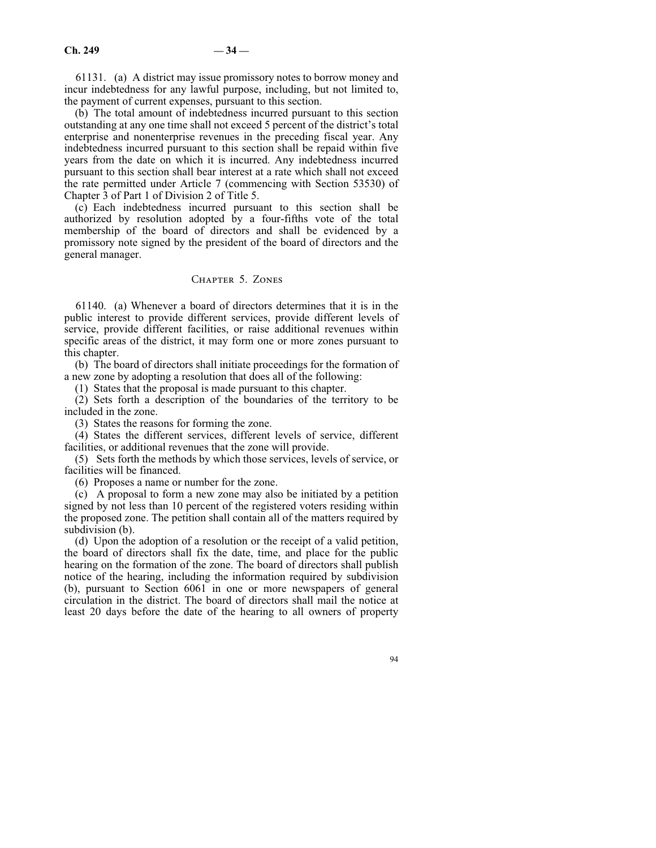61131. (a) A district may issue promissory notes to borrow money and incur indebtedness for any lawful purpose, including, but not limited to, the payment of current expenses, pursuant to this section.

(b) The total amount of indebtedness incurred pursuant to this section outstanding at any one time shall not exceed 5 percent of the district's total enterprise and nonenterprise revenues in the preceding fiscal year. Any indebtedness incurred pursuant to this section shall be repaid within five years from the date on which it is incurred. Any indebtedness incurred pursuant to this section shall bear interest at a rate which shall not exceed the rate permitted under Article 7 (commencing with Section 53530) of Chapter 3 of Part 1 of Division 2 of Title 5.

(c) Each indebtedness incurred pursuant to this section shall be authorized by resolution adopted by a four-fifths vote of the total membership of the board of directors and shall be evidenced by a promissory note signed by the president of the board of directors and the general manager.

# Chapter 5. Zones

61140. (a) Whenever a board of directors determines that it is in the public interest to provide different services, provide different levels of service, provide different facilities, or raise additional revenues within specific areas of the district, it may form one or more zones pursuant to this chapter.

(b) The board of directors shall initiate proceedings for the formation of a new zone by adopting a resolution that does all of the following:

(1) States that the proposal is made pursuant to this chapter.

(2) Sets forth a description of the boundaries of the territory to be included in the zone.

(3) States the reasons for forming the zone.

(4) States the different services, different levels of service, different facilities, or additional revenues that the zone will provide.

(5) Sets forth the methods by which those services, levels of service, or facilities will be financed.

(6) Proposes a name or number for the zone.

(c) A proposal to form a new zone may also be initiated by a petition signed by not less than 10 percent of the registered voters residing within the proposed zone. The petition shall contain all of the matters required by subdivision (b).

(d) Upon the adoption of a resolution or the receipt of a valid petition, the board of directors shall fix the date, time, and place for the public hearing on the formation of the zone. The board of directors shall publish notice of the hearing, including the information required by subdivision (b), pursuant to Section 6061 in one or more newspapers of general circulation in the district. The board of directors shall mail the notice at least 20 days before the date of the hearing to all owners of property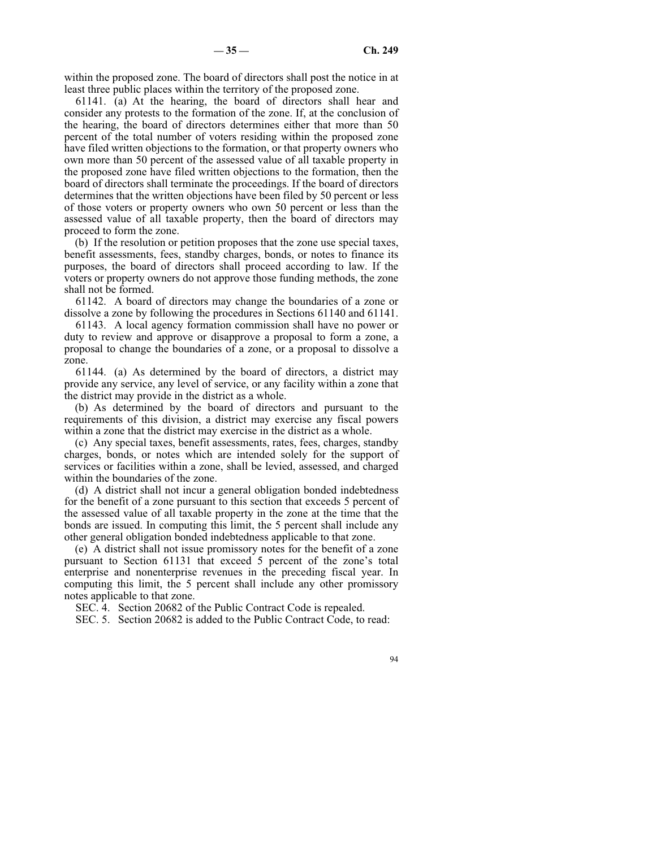within the proposed zone. The board of directors shall post the notice in at least three public places within the territory of the proposed zone.

61141. (a) At the hearing, the board of directors shall hear and consider any protests to the formation of the zone. If, at the conclusion of the hearing, the board of directors determines either that more than 50 percent of the total number of voters residing within the proposed zone have filed written objections to the formation, or that property owners who own more than 50 percent of the assessed value of all taxable property in the proposed zone have filed written objections to the formation, then the board of directors shall terminate the proceedings. If the board of directors determines that the written objections have been filed by 50 percent or less of those voters or property owners who own 50 percent or less than the assessed value of all taxable property, then the board of directors may proceed to form the zone.

(b) If the resolution or petition proposes that the zone use special taxes, benefit assessments, fees, standby charges, bonds, or notes to finance its purposes, the board of directors shall proceed according to law. If the voters or property owners do not approve those funding methods, the zone shall not be formed.

61142. A board of directors may change the boundaries of a zone or dissolve a zone by following the procedures in Sections 61140 and 61141.

61143. A local agency formation commission shall have no power or duty to review and approve or disapprove a proposal to form a zone, a proposal to change the boundaries of a zone, or a proposal to dissolve a zone.

61144. (a) As determined by the board of directors, a district may provide any service, any level of service, or any facility within a zone that the district may provide in the district as a whole.

(b) As determined by the board of directors and pursuant to the requirements of this division, a district may exercise any fiscal powers within a zone that the district may exercise in the district as a whole.

(c) Any special taxes, benefit assessments, rates, fees, charges, standby charges, bonds, or notes which are intended solely for the support of services or facilities within a zone, shall be levied, assessed, and charged within the boundaries of the zone.

(d) A district shall not incur a general obligation bonded indebtedness for the benefit of a zone pursuant to this section that exceeds 5 percent of the assessed value of all taxable property in the zone at the time that the bonds are issued. In computing this limit, the 5 percent shall include any other general obligation bonded indebtedness applicable to that zone.

(e) A district shall not issue promissory notes for the benefit of a zone pursuant to Section 61131 that exceed 5 percent of the zone's total enterprise and nonenterprise revenues in the preceding fiscal year. In computing this limit, the 5 percent shall include any other promissory notes applicable to that zone.

SEC. 4. Section 20682 of the Public Contract Code is repealed.

SEC. 5. Section 20682 is added to the Public Contract Code, to read: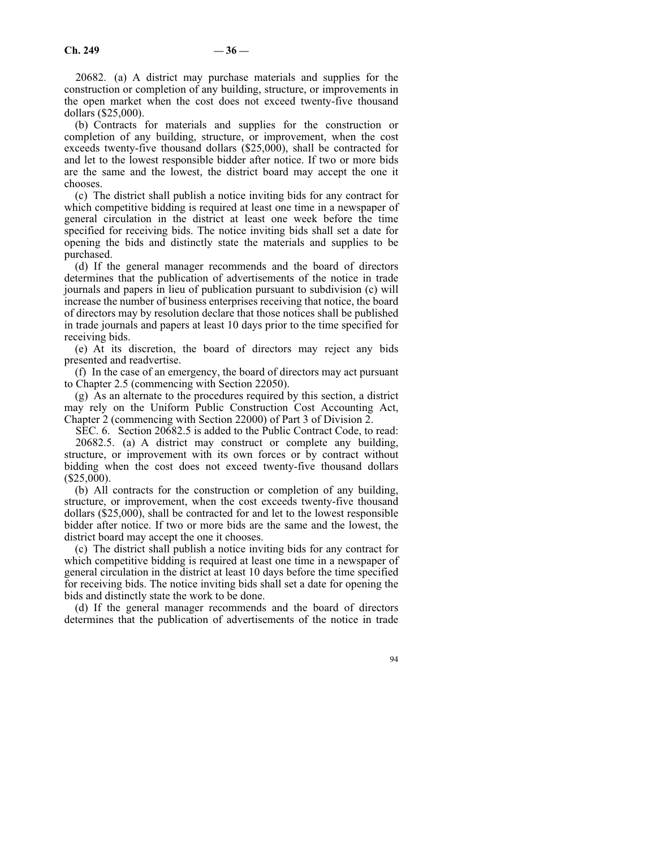20682. (a) A district may purchase materials and supplies for the construction or completion of any building, structure, or improvements in the open market when the cost does not exceed twenty-five thousand dollars (\$25,000).

(b) Contracts for materials and supplies for the construction or completion of any building, structure, or improvement, when the cost exceeds twenty-five thousand dollars (\$25,000), shall be contracted for and let to the lowest responsible bidder after notice. If two or more bids are the same and the lowest, the district board may accept the one it chooses.

(c) The district shall publish a notice inviting bids for any contract for which competitive bidding is required at least one time in a newspaper of general circulation in the district at least one week before the time specified for receiving bids. The notice inviting bids shall set a date for opening the bids and distinctly state the materials and supplies to be purchased.

(d) If the general manager recommends and the board of directors determines that the publication of advertisements of the notice in trade journals and papers in lieu of publication pursuant to subdivision (c) will increase the number of business enterprises receiving that notice, the board of directors may by resolution declare that those notices shall be published in trade journals and papers at least 10 days prior to the time specified for receiving bids.

(e) At its discretion, the board of directors may reject any bids presented and readvertise.

(f) In the case of an emergency, the board of directors may act pursuant to Chapter 2.5 (commencing with Section 22050).

(g) As an alternate to the procedures required by this section, a district may rely on the Uniform Public Construction Cost Accounting Act, Chapter 2 (commencing with Section 22000) of Part 3 of Division 2.

SEC. 6. Section 20682.5 is added to the Public Contract Code, to read:

20682.5. (a) A district may construct or complete any building, structure, or improvement with its own forces or by contract without bidding when the cost does not exceed twenty-five thousand dollars (\$25,000).

(b) All contracts for the construction or completion of any building, structure, or improvement, when the cost exceeds twenty-five thousand dollars (\$25,000), shall be contracted for and let to the lowest responsible bidder after notice. If two or more bids are the same and the lowest, the district board may accept the one it chooses.

(c) The district shall publish a notice inviting bids for any contract for which competitive bidding is required at least one time in a newspaper of general circulation in the district at least 10 days before the time specified for receiving bids. The notice inviting bids shall set a date for opening the bids and distinctly state the work to be done.

(d) If the general manager recommends and the board of directors determines that the publication of advertisements of the notice in trade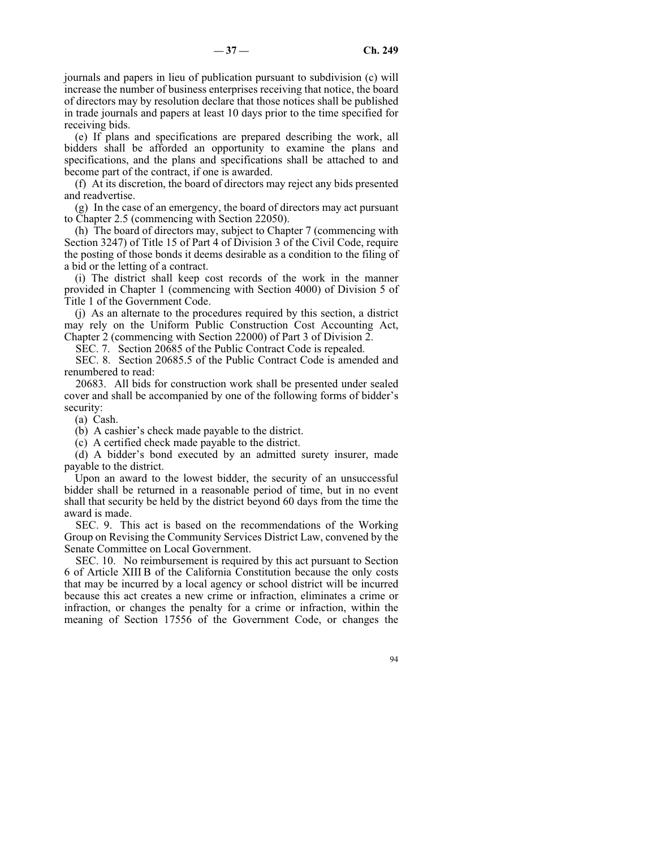journals and papers in lieu of publication pursuant to subdivision (c) will increase the number of business enterprises receiving that notice, the board of directors may by resolution declare that those notices shall be published in trade journals and papers at least 10 days prior to the time specified for receiving bids.

(e) If plans and specifications are prepared describing the work, all bidders shall be afforded an opportunity to examine the plans and specifications, and the plans and specifications shall be attached to and become part of the contract, if one is awarded.

(f) At its discretion, the board of directors may reject any bids presented and readvertise.

(g) In the case of an emergency, the board of directors may act pursuant to Chapter 2.5 (commencing with Section 22050).

(h) The board of directors may, subject to Chapter 7 (commencing with Section 3247) of Title 15 of Part 4 of Division 3 of the Civil Code, require the posting of those bonds it deems desirable as a condition to the filing of a bid or the letting of a contract.

(i) The district shall keep cost records of the work in the manner provided in Chapter 1 (commencing with Section 4000) of Division 5 of Title 1 of the Government Code.

(j) As an alternate to the procedures required by this section, a district may rely on the Uniform Public Construction Cost Accounting Act, Chapter 2 (commencing with Section 22000) of Part 3 of Division 2.

SEC. 7. Section 20685 of the Public Contract Code is repealed.

SEC. 8. Section 20685.5 of the Public Contract Code is amended and renumbered to read:

20683. All bids for construction work shall be presented under sealed cover and shall be accompanied by one of the following forms of bidder's security:

(a) Cash.

(b) A cashier's check made payable to the district.

(c) A certified check made payable to the district.

(d) A bidder's bond executed by an admitted surety insurer, made payable to the district.

Upon an award to the lowest bidder, the security of an unsuccessful bidder shall be returned in a reasonable period of time, but in no event shall that security be held by the district beyond 60 days from the time the award is made.

SEC. 9. This act is based on the recommendations of the Working Group on Revising the Community Services District Law, convened by the Senate Committee on Local Government.

SEC. 10. No reimbursement is required by this act pursuant to Section 6 of Article XIII B of the California Constitution because the only costs that may be incurred by a local agency or school district will be incurred because this act creates a new crime or infraction, eliminates a crime or infraction, or changes the penalty for a crime or infraction, within the meaning of Section 17556 of the Government Code, or changes the